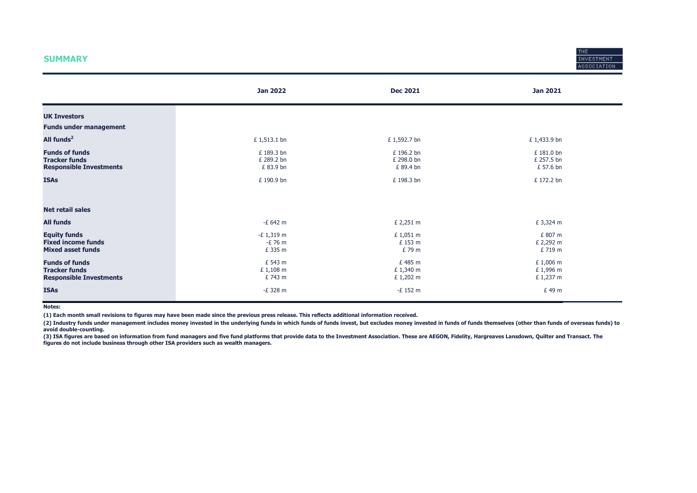#### **SUMMARY**



|                                                                                 | <b>Jan 2022</b>                     | <b>Dec 2021</b>                       | <b>Jan 2021</b>                       |
|---------------------------------------------------------------------------------|-------------------------------------|---------------------------------------|---------------------------------------|
| <b>UK Investors</b>                                                             |                                     |                                       |                                       |
| <b>Funds under management</b>                                                   |                                     |                                       |                                       |
| All funds <sup>2</sup>                                                          | £ 1,513.1 bn                        | £ 1,592.7 bn                          | £ 1,433.9 bn                          |
| <b>Funds of funds</b><br><b>Tracker funds</b><br><b>Responsible Investments</b> | £189.3 bn<br>£ 289.2 bn<br>£83.9 bn | £ 196.2 bn<br>£ 298.0 bn<br>£ 89.4 bn | £ 181.0 bn<br>£ 257.5 bn<br>£ 57.6 bn |
| <b>ISAs</b>                                                                     | £190.9 bn                           | £ 198.3 bn                            | £ 172.2 bn                            |
| <b>Net retail sales</b>                                                         |                                     |                                       |                                       |
| <b>All funds</b>                                                                | -£ 642 m                            | £ 2,251 m                             | £ 3,324 m                             |
| <b>Equity funds</b><br><b>Fixed income funds</b><br><b>Mixed asset funds</b>    | $-E$ 1,319 m<br>-£ 76 m<br>£ 335 m  | £1,051 m<br>£ 153 m<br>£79 m          | £ 807 m<br>£ 2,292 m<br>£ 719 m       |
| <b>Funds of funds</b><br><b>Tracker funds</b><br><b>Responsible Investments</b> | £ 543 m<br>£1,108 m<br>£ 743 m      | £485 m<br>£ 1,340 m<br>£ 1,202 m      | £ 1,006 m<br>£ 1,996 m<br>£ 1,237 m   |
| <b>ISAs</b>                                                                     | -£ 328 m                            | $-E$ 152 m                            | £49 m                                 |

Notes:

(1) Each month small revisions to figures may have been made since the previous press release. This reflects additional information received.

(2) Industry funds under management includes money invested in the underlying funds in which funds of funds invest, but excludes money invested in funds of funds themselves (other than funds of overseas funds) to avoid double-counting.

(3) ISA figures are based on information from fund managers and five fund platforms that provide data to the Investment Association. These are AEGON, Fidelity, Hargreaves Lansdown, Quilter and Transact. The figures do not include business through other ISA providers such as wealth managers.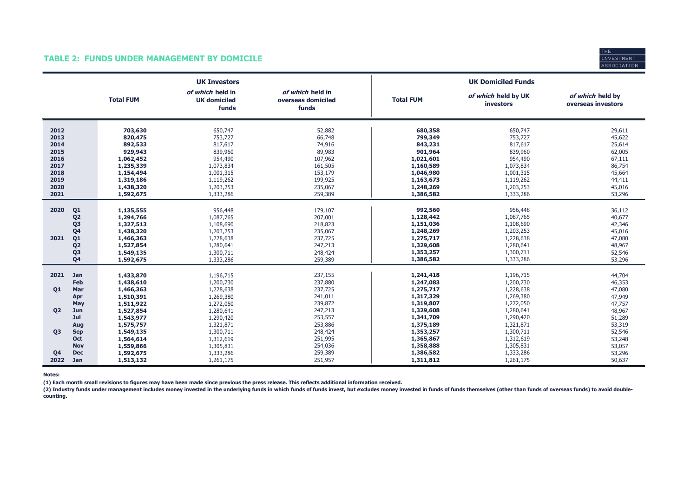#### TABLE 2: FUNDS UNDER MANAGEMENT BY DOMICILE



|                                                                                                                                                  |                                                                                                                        | <b>UK Investors</b>                                                                                                  |                                                                                                        |                                                                                                                        | <b>UK Domiciled Funds</b>                                                                                            |                                                                                                  |
|--------------------------------------------------------------------------------------------------------------------------------------------------|------------------------------------------------------------------------------------------------------------------------|----------------------------------------------------------------------------------------------------------------------|--------------------------------------------------------------------------------------------------------|------------------------------------------------------------------------------------------------------------------------|----------------------------------------------------------------------------------------------------------------------|--------------------------------------------------------------------------------------------------|
|                                                                                                                                                  | <b>Total FUM</b>                                                                                                       | of which held in<br><b>UK domiciled</b><br>funds                                                                     | of which held in<br>overseas domiciled<br>funds                                                        | <b>Total FUM</b>                                                                                                       | of which held by UK<br><b>investors</b>                                                                              | of which held by<br>overseas investors                                                           |
| 2012<br>2013<br>2014<br>2015<br>2016<br>2017<br>2018<br>2019<br>2020<br>2021                                                                     | 703,630<br>820,475<br>892,533<br>929,943<br>1,062,452<br>1,235,339<br>1,154,494<br>1,319,186<br>1,438,320<br>1,592,675 | 650,747<br>753,727<br>817,617<br>839,960<br>954,490<br>1,073,834<br>1,001,315<br>1,119,262<br>1,203,253<br>1,333,286 | 52,882<br>66,748<br>74,916<br>89,983<br>107,962<br>161,505<br>153,179<br>199,925<br>235,067<br>259,389 | 680,358<br>799,349<br>843,231<br>901,964<br>1,021,601<br>1,160,589<br>1,046,980<br>1,163,673<br>1,248,269<br>1,386,582 | 650,747<br>753,727<br>817,617<br>839,960<br>954,490<br>1,073,834<br>1,001,315<br>1,119,262<br>1,203,253<br>1,333,286 | 29,611<br>45,622<br>25,614<br>62,005<br>67,111<br>86,754<br>45,664<br>44,411<br>45,016<br>53,296 |
| 2020<br>Q <sub>1</sub><br>Q <sub>2</sub><br>Q <sub>3</sub><br>Q <sub>4</sub><br>2021<br>Q1<br>Q <sub>2</sub><br>Q <sub>3</sub><br>Q <sub>4</sub> | 1,135,555<br>1,294,766<br>1,327,513<br>1,438,320<br>1,466,363<br>1,527,854<br>1,549,135<br>1,592,675                   | 956,448<br>1,087,765<br>1,108,690<br>1,203,253<br>1,228,638<br>1,280,641<br>1,300,711<br>1,333,286                   | 179,107<br>207,001<br>218,823<br>235,067<br>237,725<br>247,213<br>248,424<br>259,389                   | 992,560<br>1,128,442<br>1,151,036<br>1,248,269<br>1,275,717<br>1,329,608<br>1,353,257<br>1,386,582                     | 956,448<br>1,087,765<br>1,108,690<br>1,203,253<br>1,228,638<br>1,280,641<br>1,300,711<br>1,333,286                   | 36,112<br>40,677<br>42,346<br>45,016<br>47,080<br>48,967<br>52,546<br>53,296                     |
| 2021<br>Jan<br>Feb<br>Mar<br>Q1<br>Apr<br>May                                                                                                    | 1,433,870<br>1,438,610<br>1,466,363<br>1,510,391<br>1,511,922                                                          | 1,196,715<br>1,200,730<br>1,228,638<br>1,269,380<br>1,272,050                                                        | 237,155<br>237,880<br>237,725<br>241,011<br>239,872                                                    | 1,241,418<br>1,247,083<br>1,275,717<br>1,317,329<br>1,319,807                                                          | 1,196,715<br>1,200,730<br>1,228,638<br>1,269,380<br>1,272,050                                                        | 44,704<br>46,353<br>47,080<br>47,949<br>47,757                                                   |
| <b>Q2</b><br>Jun<br>Jul<br>Aug<br><b>Q3</b><br><b>Sep</b><br><b>Oct</b><br><b>Nov</b>                                                            | 1,527,854<br>1,543,977<br>1,575,757<br>1,549,135<br>1,564,614<br>1,559,866                                             | 1,280,641<br>1,290,420<br>1,321,871<br>1,300,711<br>1,312,619<br>1,305,831                                           | 247,213<br>253,557<br>253,886<br>248,424<br>251,995<br>254,036                                         | 1,329,608<br>1,341,709<br>1,375,189<br>1,353,257<br>1,365,867<br>1,358,888                                             | 1,280,641<br>1,290,420<br>1,321,871<br>1,300,711<br>1,312,619<br>1,305,831                                           | 48,967<br>51,289<br>53,319<br>52,546<br>53,248<br>53,057                                         |
| <b>Dec</b><br>Q <sub>4</sub><br>2022<br>Jan                                                                                                      | 1,592,675<br>1,513,132                                                                                                 | 1,333,286<br>1,261,175                                                                                               | 259,389<br>251,957                                                                                     | 1,386,582<br>1,311,812                                                                                                 | 1,333,286<br>1,261,175                                                                                               | 53,296<br>50,637                                                                                 |

Notes:

(1) Each month small revisions to figures may have been made since previous the press release. This reflects additional information received.

(2) Industry funds under management includes money invested in the underlying funds in which funds of funds invest, but excludes money invested in funds of funds themselves (other than funds of overseas funds) to avoid dou counting.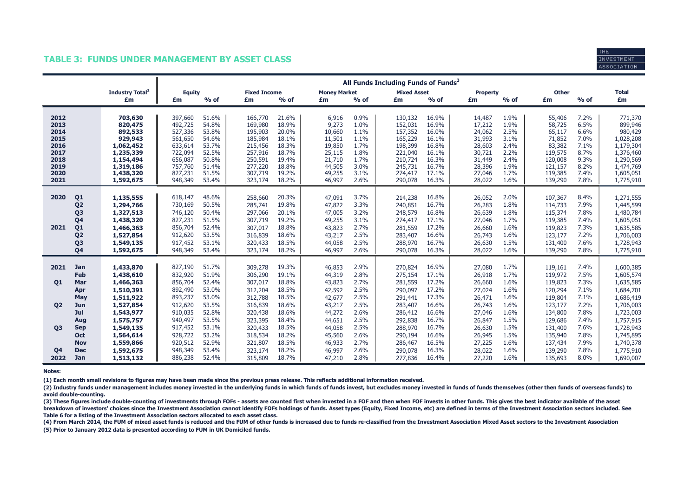### TABLE 3: FUNDS UNDER MANAGEMENT BY ASSET CLASS



|                              |                             | All Funds Including Funds of Funds <sup>3</sup> |                |                     |                |                     |              |                    |                |                  |              |                    |              |                        |
|------------------------------|-----------------------------|-------------------------------------------------|----------------|---------------------|----------------|---------------------|--------------|--------------------|----------------|------------------|--------------|--------------------|--------------|------------------------|
|                              | Industry Total <sup>2</sup> | <b>Equity</b>                                   |                | <b>Fixed Income</b> |                | <b>Money Market</b> |              | <b>Mixed Asset</b> |                | <b>Property</b>  |              | <b>Other</b>       |              | <b>Total</b>           |
|                              | £m                          | £m                                              | $%$ of         | £m                  | $%$ of         | £m                  | $%$ of       | £m                 | $%$ of         | £m               | $%$ of       | £m                 | $%$ of       | £m                     |
| 2012                         | 703,630                     | 397,660                                         | 51.6%          | 166,770             | 21.6%          | 6,916               | 0.9%         | 130,132            | 16.9%          | 14,487           | 1.9%         | 55,406             | 7.2%         | 771,370                |
| 2013                         | 820,475                     | 492,725                                         | 54.8%          | 169,980             | 18.9%          | 9,273               | 1.0%         | 152,031            | 16.9%          | 17,212           | 1.9%         | 58,725             | 6.5%         | 899,946                |
| 2014                         | 892,533                     | 527,336                                         | 53.8%          | 195,903             | 20.0%          | 10,660              | 1.1%         | 157,352            | 16.0%          | 24,062           | 2.5%         | 65,117             | 6.6%         | 980,429                |
| 2015                         | 929,943                     | 561,650                                         | 54.6%          | 185,984             | 18.1%          | 11,501              | 1.1%         | 165,229            | 16.1%          | 31,993           | 3.1%         | 71,852             | 7.0%         | 1,028,208              |
| 2016                         | 1,062,452                   | 633,614                                         | 53.7%          | 215,456             | 18.3%          | 19,850              | 1.7%         | 198,399            | 16.8%          | 28,603           | 2.4%         | 83,382             | 7.1%<br>8.7% | 1,179,304              |
| 2017<br>2018                 | 1,235,339<br>1,154,494      | 722,094<br>656,087                              | 52.5%<br>50.8% | 257,916<br>250,591  | 18.7%<br>19.4% | 25,115<br>21,710    | 1.8%<br>1.7% | 221,040<br>210,724 | 16.1%<br>16.3% | 30,721<br>31,449 | 2.2%<br>2.4% | 119,575<br>120,008 | 9.3%         | 1,376,460<br>1,290,569 |
| 2019                         | 1,319,186                   | 757,760                                         | 51.4%          | 277,220             | 18.8%          | 44,505              | 3.0%         | 245,731            | 16.7%          | 28,396           | 1.9%         | 121,157            | 8.2%         | 1,474,769              |
| 2020                         | 1,438,320                   | 827,231                                         | 51.5%          | 307,719             | 19.2%          | 49,255              | 3.1%         | 274,417            | 17.1%          | 27,046           | 1.7%         | 119,385            | 7.4%         | 1,605,051              |
| 2021                         | 1,592,675                   | 948,349                                         | 53.4%          | 323,174             | 18.2%          | 46,997              | 2.6%         | 290,078            | 16.3%          | 28,022           | 1.6%         | 139,290            | 7.8%         | 1,775,910              |
|                              |                             |                                                 |                |                     |                |                     |              |                    |                |                  |              |                    |              |                        |
| 2020<br>Q <sub>1</sub>       | 1,135,555                   | 618,147                                         | 48.6%          | 258,660             | 20.3%          | 47,091              | 3.7%         | 214,238            | 16.8%          | 26,052           | 2.0%         | 107,367            | 8.4%         | 1,271,555              |
| Q <sub>2</sub>               | 1,294,766                   | 730,169                                         | 50.5%          | 285,741             | 19.8%          | 47,822              | 3.3%         | 240,851            | 16.7%          | 26,283           | 1.8%         | 114,733            | 7.9%         | 1,445,599              |
| Q <sub>3</sub>               | 1,327,513                   | 746,120<br>827,231                              | 50.4%<br>51.5% | 297,066<br>307,719  | 20.1%<br>19.2% | 47,005              | 3.2%<br>3.1% | 248,579            | 16.8%<br>17.1% | 26,639           | 1.8%<br>1.7% | 115,374            | 7.8%<br>7.4% | 1,480,784              |
| Q4<br>Q <sub>1</sub><br>2021 | 1,438,320<br>1,466,363      | 856,704                                         | 52.4%          | 307,017             | 18.8%          | 49,255<br>43,823    | 2.7%         | 274,417<br>281,559 | 17.2%          | 27,046<br>26,660 | 1.6%         | 119,385<br>119,823 | 7.3%         | 1,605,051<br>1,635,585 |
| Q <sub>2</sub>               | 1,527,854                   | 912,620                                         | 53.5%          | 316,839             | 18.6%          | 43,217              | 2.5%         | 283,407            | 16.6%          | 26,743           | 1.6%         | 123,177            | 7.2%         | 1,706,003              |
| Q <sub>3</sub>               | 1,549,135                   | 917,452                                         | 53.1%          | 320,433             | 18.5%          | 44,058              | 2.5%         | 288,970            | 16.7%          | 26,630           | 1.5%         | 131,400            | 7.6%         | 1,728,943              |
| Q4                           | 1,592,675                   | 948,349                                         | 53.4%          | 323,174             | 18.2%          | 46,997              | 2.6%         | 290,078            | 16.3%          | 28,022           | 1.6%         | 139,290            | 7.8%         | 1,775,910              |
|                              |                             |                                                 |                |                     |                |                     |              |                    |                |                  |              |                    |              |                        |
| 2021<br>Jan                  | 1,433,870                   | 827,190                                         | 51.7%          | 309,278             | 19.3%          | 46,853              | 2.9%         | 270,824            | 16.9%          | 27,080           | 1.7%         | 119,161            | 7.4%         | 1,600,385              |
| Feb                          | 1,438,610                   | 832,920                                         | 51.9%          | 306,290             | 19.1%          | 44,319              | 2.8%         | 275,154            | 17.1%          | 26,918           | 1.7%         | 119,972            | 7.5%         | 1,605,574              |
| Mar<br>Q <sub>1</sub>        | 1,466,363                   | 856,704                                         | 52.4%          | 307,017             | 18.8%          | 43,823              | 2.7%         | 281,559            | 17.2%          | 26,660           | 1.6%         | 119,823            | 7.3%         | 1,635,585              |
| Apr                          | 1,510,391                   | 892,490                                         | 53.0%          | 312,204             | 18.5%          | 42,592              | 2.5%         | 290,097            | 17.2%          | 27,024           | 1.6%         | 120,294            | 7.1%         | 1,684,701              |
| May                          | 1,511,922                   | 893,237                                         | 53.0%          | 312,788             | 18.5%          | 42,677              | 2.5%         | 291,441            | 17.3%          | 26,471           | 1.6%         | 119,804            | 7.1%         | 1,686,419              |
| <b>Q2</b><br>Jun             | 1,527,854                   | 912,620<br>910,035                              | 53.5%<br>52.8% | 316,839             | 18.6%<br>18.6% | 43,217              | 2.5%<br>2.6% | 283,407            | 16.6%<br>16.6% | 26,743           | 1.6%<br>1.6% | 123,177            | 7.2%<br>7.8% | 1,706,003              |
| Jul<br>Aug                   | 1,543,977<br>1,575,757      | 940,497                                         | 53.5%          | 320,438<br>323,395  | 18.4%          | 44,272<br>44,651    | 2.5%         | 286,412<br>292,838 | 16.7%          | 27,046<br>26,847 | 1.5%         | 134,800<br>129,686 | 7.4%         | 1,723,003<br>1,757,915 |
| O <sub>3</sub><br><b>Sep</b> | 1,549,135                   | 917,452                                         | 53.1%          | 320,433             | 18.5%          | 44,058              | 2.5%         | 288,970            | 16.7%          | 26,630           | 1.5%         | 131,400            | 7.6%         | 1,728,943              |
| Oct                          | 1,564,614                   | 928,722                                         | 53.2%          | 318,534             | 18.2%          | 45,560              | 2.6%         | 290,194            | 16.6%          | 26,945           | 1.5%         | 135,940            | 7.8%         | 1,745,895              |
| <b>Nov</b>                   | 1,559,866                   | 920,512                                         | 52.9%          | 321,807             | 18.5%          | 46,933              | 2.7%         | 286,467            | 16.5%          | 27,225           | 1.6%         | 137,434            | 7.9%         | 1,740,378              |
| Q <sub>4</sub><br><b>Dec</b> | 1,592,675                   | 948,349                                         | 53.4%          | 323,174             | 18.2%          | 46,997              | 2.6%         | 290,078            | 16.3%          | 28,022           | 1.6%         | 139,290            | 7.8%         | 1,775,910              |
| 2022<br>Jan                  | 1,513,132                   | 886,238                                         | 52.4%          | 315,809             | 18.7%          | 47,210              | 2.8%         | 277,836            | 16.4%          | 27,220           | 1.6%         | 135,693            | 8.0%         | 1,690,007              |

Notes:

(1) Each month small revisions to figures may have been made since the previous press release. This reflects additional information received.

(2) Industry funds under management includes money invested in the underlying funds in which funds of funds invest, but excludes money invested in funds of funds themselves (other then funds of overseas funds) to avoid double-counting.

(3) These figures include double-counting of investments through FOFs - assets are counted first when invested in a FOF and then when FOF invests in other funds. This gives the best indicator available of the asset breakdown of investors' choices since the Investment Association cannot identify FOFs holdings of funds. Asset types (Equity, Fixed Income, etc) are defined in terms of the Investment Association sectors included. See Table 6 for a listing of the Investment Association sectors allocated to each asset class.

(5) Prior to January 2012 data is presented according to FUM in UK Domiciled funds. (4) From March 2014, the FUM of mixed asset funds is reduced and the FUM of other funds is increased due to funds re-classified from the Investment Association Mixed Asset sectors to the Investment Association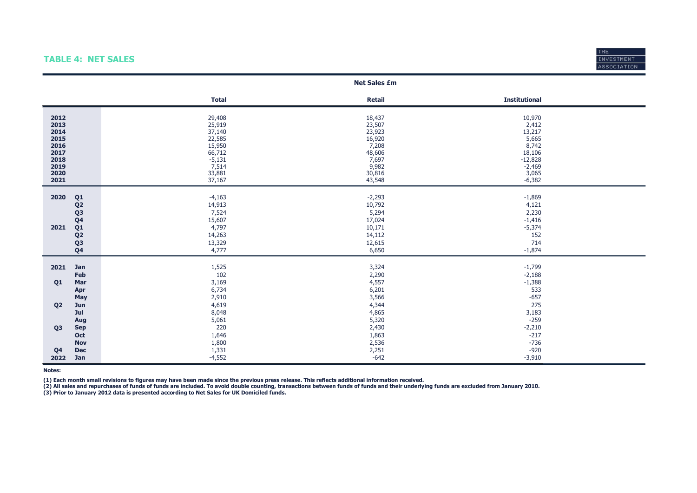# TABLE 4: NET SALES



|                                                                              |                                                                                                                                              |                                                                                                   | <b>Net Sales £m</b>                                                                           |                                                                                                     |
|------------------------------------------------------------------------------|----------------------------------------------------------------------------------------------------------------------------------------------|---------------------------------------------------------------------------------------------------|-----------------------------------------------------------------------------------------------|-----------------------------------------------------------------------------------------------------|
|                                                                              |                                                                                                                                              | <b>Total</b>                                                                                      | <b>Retail</b>                                                                                 | <b>Institutional</b>                                                                                |
| 2012<br>2013<br>2014<br>2015<br>2016<br>2017<br>2018<br>2019<br>2020<br>2021 |                                                                                                                                              | 29,408<br>25,919<br>37,140<br>22,585<br>15,950<br>66,712<br>$-5,131$<br>7,514<br>33,881<br>37,167 | 18,437<br>23,507<br>23,923<br>16,920<br>7,208<br>48,606<br>7,697<br>9,982<br>30,816<br>43,548 | 10,970<br>2,412<br>13,217<br>5,665<br>8,742<br>18,106<br>$-12,828$<br>$-2,469$<br>3,065<br>$-6,382$ |
| 2020<br>2021                                                                 | Q <sub>1</sub><br>Q <sub>2</sub><br>Q <sub>3</sub><br>Q <sub>4</sub><br>Q <sub>1</sub><br>Q <sub>2</sub><br>Q <sub>3</sub><br>Q <sub>4</sub> | $-4,163$<br>14,913<br>7,524<br>15,607<br>4,797<br>14,263<br>13,329<br>4,777                       | $-2,293$<br>10,792<br>5,294<br>17,024<br>10,171<br>14,112<br>12,615<br>6,650                  | $-1,869$<br>4,121<br>2,230<br>$-1,416$<br>$-5,374$<br>152<br>714<br>$-1,874$                        |
| 2021                                                                         | Jan                                                                                                                                          |                                                                                                   |                                                                                               |                                                                                                     |
|                                                                              | Feb                                                                                                                                          | 1,525<br>102                                                                                      | 3,324<br>2,290                                                                                | $-1,799$<br>$-2,188$                                                                                |
| Q <sub>1</sub>                                                               | Mar                                                                                                                                          | 3,169                                                                                             | 4,557                                                                                         | $-1,388$                                                                                            |
|                                                                              | Apr                                                                                                                                          | 6,734                                                                                             | 6,201                                                                                         | 533                                                                                                 |
|                                                                              | <b>May</b>                                                                                                                                   | 2,910                                                                                             | 3,566                                                                                         | $-657$                                                                                              |
| Q <sub>2</sub>                                                               | Jun<br>Jul                                                                                                                                   | 4,619<br>8,048                                                                                    | 4,344<br>4,865                                                                                | 275<br>3,183                                                                                        |
|                                                                              | Aug                                                                                                                                          | 5,061                                                                                             | 5,320                                                                                         | $-259$                                                                                              |
| Q <sub>3</sub>                                                               | <b>Sep</b>                                                                                                                                   | 220                                                                                               | 2,430                                                                                         | $-2,210$                                                                                            |
|                                                                              | Oct                                                                                                                                          | 1,646                                                                                             | 1,863                                                                                         | $-217$                                                                                              |
|                                                                              | <b>Nov</b>                                                                                                                                   | 1,800                                                                                             | 2,536                                                                                         | $-736$                                                                                              |
| Q <sub>4</sub>                                                               | <b>Dec</b>                                                                                                                                   | 1,331                                                                                             | 2,251                                                                                         | $-920$                                                                                              |
| 2022                                                                         | Jan                                                                                                                                          | $-4,552$                                                                                          | $-642$                                                                                        | $-3,910$                                                                                            |

Notes:

(1) Each month small revisions to figures may have been made since the previous press release. This reflects additional information received.

(3) Prior to January 2012 data is presented according to Net Sales for UK Domiciled funds. (2) All sales and repurchases of funds of funds are included. To avoid double counting, transactions between funds of funds and their underlying funds are excluded from January 2010.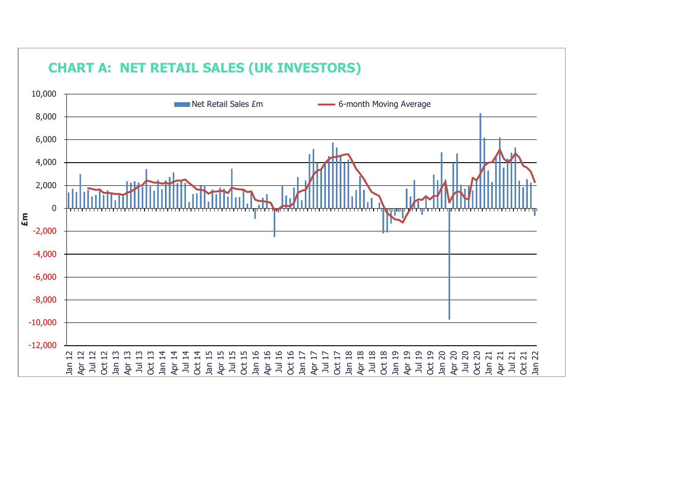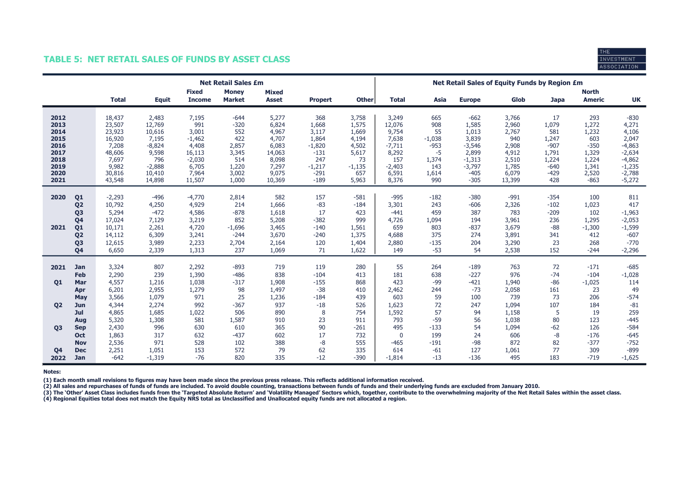# TABLE 5: NET RETAIL SALES OF FUNDS BY ASSET CLASS



|                                                                              |                                                                                                                                              |                                                                                               |                                                                                                |                                                                                              | <b>Net Retail Sales £m</b>                                                         |                                                                                          |                                                                                             |                                                                                      | Net Retail Sales of Equity Funds by Region £m                                               |                                                                                |                                                                                                    |                                                                                       |                                                                                    |                                                                                      |                                                                                                           |
|------------------------------------------------------------------------------|----------------------------------------------------------------------------------------------------------------------------------------------|-----------------------------------------------------------------------------------------------|------------------------------------------------------------------------------------------------|----------------------------------------------------------------------------------------------|------------------------------------------------------------------------------------|------------------------------------------------------------------------------------------|---------------------------------------------------------------------------------------------|--------------------------------------------------------------------------------------|---------------------------------------------------------------------------------------------|--------------------------------------------------------------------------------|----------------------------------------------------------------------------------------------------|---------------------------------------------------------------------------------------|------------------------------------------------------------------------------------|--------------------------------------------------------------------------------------|-----------------------------------------------------------------------------------------------------------|
|                                                                              |                                                                                                                                              | <b>Total</b>                                                                                  | <b>Equit</b>                                                                                   | <b>Fixed</b><br><b>Income</b>                                                                | <b>Money</b><br><b>Market</b>                                                      | <b>Mixed</b><br><b>Asset</b>                                                             | <b>Propert</b>                                                                              | <b>Other</b>                                                                         | <b>Total</b>                                                                                | Asia                                                                           | <b>Europe</b>                                                                                      | Glob                                                                                  | <b>Japa</b>                                                                        | <b>North</b><br><b>Americ</b>                                                        | <b>UK</b>                                                                                                 |
| 2012<br>2013<br>2014<br>2015<br>2016<br>2017<br>2018<br>2019<br>2020<br>2021 |                                                                                                                                              | 18,437<br>23,507<br>23,923<br>16,920<br>7,208<br>48,606<br>7,697<br>9,982<br>30,816<br>43,548 | 2,483<br>12,769<br>10,616<br>7,195<br>$-8,824$<br>9,598<br>796<br>$-2,888$<br>10,410<br>14,898 | 7,195<br>991<br>3,001<br>$-1,462$<br>4,408<br>16,113<br>$-2,030$<br>6,705<br>7,964<br>11,507 | $-644$<br>$-320$<br>552<br>422<br>2,857<br>3,345<br>514<br>1,220<br>3,002<br>1,000 | 5,277<br>6,824<br>4,967<br>4,707<br>6,083<br>14,063<br>8,098<br>7,297<br>9,075<br>10,369 | 368<br>1,668<br>3,117<br>1,864<br>$-1,820$<br>$-131$<br>247<br>$-1,217$<br>$-291$<br>$-189$ | 3,758<br>1,575<br>1,669<br>4,194<br>4,502<br>5,617<br>73<br>$-1,135$<br>657<br>5,963 | 3,249<br>12,076<br>9,754<br>7,638<br>$-7,711$<br>8,292<br>157<br>$-2,403$<br>6,591<br>8,376 | 665<br>908<br>55<br>$-1,038$<br>$-953$<br>$-5$<br>1,374<br>143<br>1,614<br>990 | $-662$<br>1,585<br>1,013<br>3,839<br>$-3,546$<br>2,899<br>$-1,313$<br>$-3,797$<br>$-405$<br>$-305$ | 3,766<br>2,960<br>2,767<br>940<br>2,908<br>4,912<br>2,510<br>1,785<br>6,079<br>13,399 | 17<br>1,079<br>581<br>1,247<br>$-907$<br>1,791<br>1,224<br>$-640$<br>$-429$<br>428 | 293<br>1,272<br>1,232<br>603<br>$-350$<br>1,329<br>1,224<br>1,341<br>2,520<br>$-863$ | $-830$<br>4,271<br>4,106<br>2,047<br>$-4,863$<br>$-2,634$<br>$-4,862$<br>$-1,235$<br>$-2,788$<br>$-5,272$ |
| 2020<br>2021                                                                 | Q <sub>1</sub><br>Q <sub>2</sub><br>Q <sub>3</sub><br>Q <sub>4</sub><br>Q <sub>1</sub><br>Q <sub>2</sub><br>Q <sub>3</sub><br>Q <sub>4</sub> | $-2,293$<br>10,792<br>5,294<br>17,024<br>10,171<br>14,112<br>12,615<br>6,650                  | $-496$<br>4,250<br>$-472$<br>7,129<br>2,261<br>6,309<br>3,989<br>2,339                         | $-4,770$<br>4,929<br>4,586<br>3,219<br>4,720<br>3,241<br>2,233<br>1,313                      | 2,814<br>214<br>$-878$<br>852<br>$-1,696$<br>$-244$<br>2,704<br>237                | 582<br>1,666<br>1,618<br>5,208<br>3,465<br>3,670<br>2,164<br>1,069                       | 157<br>$-83$<br>17<br>$-382$<br>$-140$<br>$-240$<br>120<br>71                               | $-581$<br>$-184$<br>423<br>999<br>1,561<br>1,375<br>1,404<br>1,622                   | $-995$<br>3,301<br>$-441$<br>4,726<br>659<br>4,688<br>2,880<br>149                          | $-182$<br>243<br>459<br>1,094<br>803<br>375<br>$-135$<br>$-53$                 | $-380$<br>$-606$<br>387<br>194<br>$-837$<br>274<br>204<br>54                                       | $-991$<br>2,326<br>783<br>3,961<br>3,679<br>3,891<br>3,290<br>2,538                   | $-354$<br>$-102$<br>$-209$<br>236<br>$-88$<br>341<br>23<br>152                     | 100<br>1,023<br>102<br>1,295<br>$-1,300$<br>412<br>268<br>$-244$                     | 811<br>417<br>$-1,963$<br>$-2,053$<br>$-1,599$<br>$-607$<br>$-770$<br>$-2,296$                            |
| 2021<br>01<br>Q <sub>2</sub>                                                 | Jan<br><b>Feb</b><br>Mar<br>Apr<br>May<br>Jun<br>Jul<br>Aug                                                                                  | 3,324<br>2,290<br>4,557<br>6,201<br>3,566<br>4,344<br>4,865<br>5,320                          | 807<br>239<br>1,216<br>2,955<br>1,079<br>2,274<br>1,685<br>1,308                               | 2,292<br>1,390<br>1,038<br>1,279<br>971<br>992<br>1,022<br>581                               | $-893$<br>$-486$<br>$-317$<br>98<br>25<br>$-367$<br>506<br>1,587                   | 719<br>838<br>1,908<br>1,497<br>1,236<br>937<br>890<br>910                               | 119<br>$-104$<br>$-155$<br>$-38$<br>$-184$<br>$-18$<br>8<br>23                              | 280<br>413<br>868<br>410<br>439<br>526<br>754<br>911                                 | 55<br>181<br>423<br>2,462<br>603<br>1,623<br>1,592<br>793                                   | 264<br>638<br>$-99$<br>244<br>59<br>72<br>57<br>$-59$                          | $-189$<br>$-227$<br>$-421$<br>$-73$<br>100<br>247<br>94<br>56                                      | 763<br>976<br>1,940<br>2,058<br>739<br>1,094<br>1,158<br>1,038                        | 72<br>$-74$<br>$-86$<br>161<br>73<br>107<br>5<br>80                                | $-171$<br>$-104$<br>$-1,025$<br>23<br>206<br>184<br>19<br>123                        | $-685$<br>$-1,028$<br>114<br>49<br>$-574$<br>$-81$<br>259<br>$-445$                                       |
| <b>Q3</b><br>Q <sub>4</sub><br>2022                                          | <b>Sep</b><br>Oct<br><b>Nov</b><br><b>Dec</b><br><b>Jan</b>                                                                                  | 2,430<br>1,863<br>2,536<br>2,251<br>$-642$                                                    | 996<br>317<br>971<br>1,051<br>$-1,319$                                                         | 630<br>632<br>528<br>153<br>$-76$                                                            | 610<br>$-437$<br>102<br>572<br>820                                                 | 365<br>602<br>388<br>79<br>335                                                           | 90<br>17<br>$-8$<br>62<br>$-12$                                                             | $-261$<br>732<br>555<br>335<br>$-390$                                                | 495<br>$\mathbf 0$<br>$-465$<br>614<br>$-1,814$                                             | $-133$<br>199<br>$-191$<br>$-61$<br>$-13$                                      | 54<br>24<br>$-98$<br>127<br>$-136$                                                                 | 1,094<br>606<br>872<br>1,061<br>495                                                   | $-62$<br>$-8$<br>82<br>77<br>183                                                   | 126<br>$-176$<br>$-377$<br>309<br>$-719$                                             | $-584$<br>$-645$<br>$-752$<br>$-899$<br>$-1,625$                                                          |

Notes:

(1) Each month small revisions to figures may have been made since the previous press release. This reflects additional information received.

(2) All sales and repurchases of funds of funds are included. To avoid double counting, transactions between funds of funds and their underlying funds are excluded from January 2010.

(3) The 'Other' Asset Class includes funds from the 'Targeted Absolute Return' and 'Volatility Managed' Sectors which, together, contribute to the overwhelming majority of the Net Retail Sales within the asset class.<br>(4) R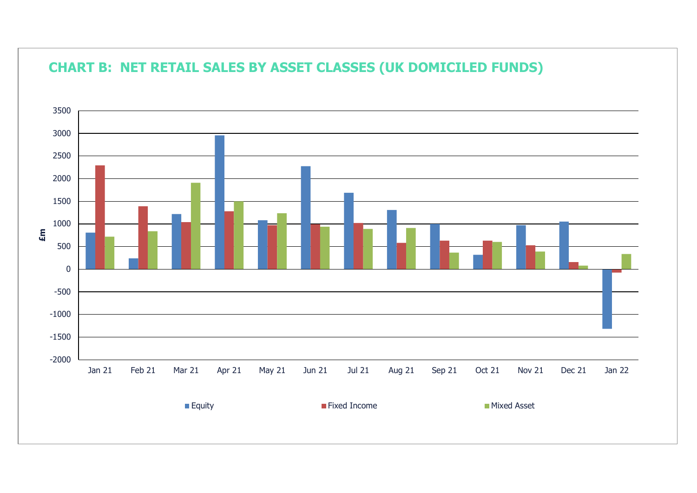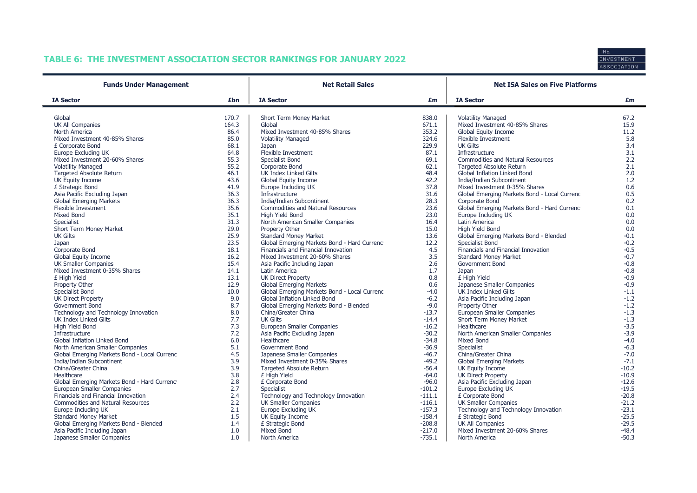# TABLE 6: THE INVESTMENT ASSOCIATION SECTOR RANKINGS FOR JANUARY 2022



| <b>Funds Under Management</b>                |       | <b>Net Retail Sales</b>                      |          | <b>Net ISA Sales on Five Platforms</b>       |         |  |  |
|----------------------------------------------|-------|----------------------------------------------|----------|----------------------------------------------|---------|--|--|
| <b>IA Sector</b>                             | £bn   | <b>IA Sector</b>                             | £m       | <b>IA Sector</b>                             | £m      |  |  |
| Global                                       | 170.7 | Short Term Money Market                      | 838.0    | <b>Volatility Managed</b>                    | 67.2    |  |  |
| UK All Companies                             | 164.3 | Global                                       | 671.1    | Mixed Investment 40-85% Shares               | 15.9    |  |  |
| North America                                | 86.4  | Mixed Investment 40-85% Shares               | 353.2    | Global Equity Income                         | 11.2    |  |  |
| Mixed Investment 40-85% Shares               | 85.0  | <b>Volatility Managed</b>                    | 324.6    | Flexible Investment                          | 5.8     |  |  |
| £ Corporate Bond                             | 68.1  | Japan                                        | 229.9    | <b>UK Gilts</b>                              | 3.4     |  |  |
| Europe Excluding UK                          | 64.8  | Flexible Investment                          | 87.1     | Infrastructure                               | 3.1     |  |  |
| Mixed Investment 20-60% Shares               | 55.3  | Specialist Bond                              | 69.1     | <b>Commodities and Natural Resources</b>     | 2.2     |  |  |
| <b>Volatility Managed</b>                    | 55.2  | Corporate Bond                               | 62.1     | <b>Targeted Absolute Return</b>              | 2.1     |  |  |
| <b>Targeted Absolute Return</b>              | 46.1  | <b>UK Index Linked Gilts</b>                 | 48.4     | Global Inflation Linked Bond                 | 2.0     |  |  |
| UK Equity Income                             | 43.6  | Global Equity Income                         | 42.2     | India/Indian Subcontinent                    | 1.2     |  |  |
| £ Strategic Bond                             | 41.9  | Europe Including UK                          | 37.8     | Mixed Investment 0-35% Shares                | 0.6     |  |  |
| Asia Pacific Excluding Japan                 | 36.3  | Infrastructure                               | 31.6     | Global Emerging Markets Bond - Local Currenc | 0.5     |  |  |
| <b>Global Emerging Markets</b>               | 36.3  | India/Indian Subcontinent                    | 28.3     | Corporate Bond                               | 0.2     |  |  |
| Flexible Investment                          | 35.6  | <b>Commodities and Natural Resources</b>     | 23.6     | Global Emerging Markets Bond - Hard Currenc  | 0.1     |  |  |
| <b>Mixed Bond</b>                            | 35.1  | High Yield Bond                              | 23.0     | Europe Including UK                          | 0.0     |  |  |
| Specialist                                   | 31.3  | North American Smaller Companies             | 16.4     | Latin America                                | 0.0     |  |  |
| Short Term Money Market                      | 29.0  | Property Other                               | 15.0     | High Yield Bond                              | 0.0     |  |  |
| <b>UK Gilts</b>                              | 25.9  | <b>Standard Money Market</b>                 | 13.6     | Global Emerging Markets Bond - Blended       | $-0.1$  |  |  |
| Japan                                        | 23.5  | Global Emerging Markets Bond - Hard Currenc  | 12.2     | Specialist Bond                              | $-0.2$  |  |  |
| Corporate Bond                               | 18.1  | Financials and Financial Innovation          | 4.5      | Financials and Financial Innovation          | $-0.5$  |  |  |
| Global Equity Income                         | 16.2  | Mixed Investment 20-60% Shares               | 3.5      | <b>Standard Money Market</b>                 | $-0.7$  |  |  |
| <b>UK Smaller Companies</b>                  | 15.4  | Asia Pacific Including Japan                 | 2.6      | Government Bond                              | $-0.8$  |  |  |
| Mixed Investment 0-35% Shares                | 14.1  | Latin America                                | 1.7      | Japan                                        | $-0.8$  |  |  |
| £ High Yield                                 | 13.1  | <b>UK Direct Property</b>                    | 0.8      | £ High Yield                                 | $-0.9$  |  |  |
| Property Other                               | 12.9  | <b>Global Emerging Markets</b>               | 0.6      | Japanese Smaller Companies                   | $-0.9$  |  |  |
| Specialist Bond                              | 10.0  | Global Emerging Markets Bond - Local Currenc | $-4.0$   | UK Index Linked Gilts                        | $-1.1$  |  |  |
| UK Direct Property                           | 9.0   | Global Inflation Linked Bond                 | $-6.2$   | Asia Pacific Including Japan                 | $-1.2$  |  |  |
| <b>Government Bond</b>                       | 8.7   | Global Emerging Markets Bond - Blended       | $-9.0$   | Property Other                               | $-1.2$  |  |  |
| Technology and Technology Innovation         | 8.0   | China/Greater China                          | $-13.7$  | European Smaller Companies                   | $-1.3$  |  |  |
| UK Index Linked Gilts                        | 7.7   | <b>UK Gilts</b>                              | $-14.4$  | Short Term Money Market                      | $-1.3$  |  |  |
| High Yield Bond                              | 7.3   | European Smaller Companies                   | $-16.2$  | Healthcare                                   | $-3.5$  |  |  |
| Infrastructure                               | 7.2   | Asia Pacific Excluding Japan                 | $-30.2$  | North American Smaller Companies             | $-3.9$  |  |  |
| Global Inflation Linked Bond                 | 6.0   | Healthcare                                   | $-34.8$  | Mixed Bond                                   | $-4.0$  |  |  |
| North American Smaller Companies             | 5.1   | Government Bond                              | $-36.9$  | Specialist                                   | $-6.3$  |  |  |
| Global Emerging Markets Bond - Local Currenc | 4.5   | Japanese Smaller Companies                   | $-46.7$  | China/Greater China                          | $-7.0$  |  |  |
| India/Indian Subcontinent                    | 3.9   | Mixed Investment 0-35% Shares                | $-49.2$  | <b>Global Emerging Markets</b>               | $-7.1$  |  |  |
| China/Greater China                          | 3.9   | <b>Targeted Absolute Return</b>              | $-56.4$  | UK Equity Income                             | $-10.2$ |  |  |
| Healthcare                                   | 3.8   | £ High Yield                                 | $-64.0$  | <b>UK Direct Property</b>                    | $-10.9$ |  |  |
| Global Emerging Markets Bond - Hard Currenc  | 2.8   | £ Corporate Bond                             | $-96.0$  | Asia Pacific Excluding Japan                 | $-12.6$ |  |  |
| European Smaller Companies                   | 2.7   | <b>Specialist</b>                            | $-101.2$ | Europe Excluding UK                          | $-19.5$ |  |  |
| Financials and Financial Innovation          | 2.4   | Technology and Technology Innovation         | $-111.1$ | £ Corporate Bond                             | $-20.8$ |  |  |
| <b>Commodities and Natural Resources</b>     | 2.2   | <b>UK Smaller Companies</b>                  | $-116.1$ | <b>UK Smaller Companies</b>                  | $-21.2$ |  |  |
| Europe Including UK                          | 2.1   | Europe Excluding UK                          | $-157.3$ | Technology and Technology Innovation         | $-23.1$ |  |  |
| <b>Standard Money Market</b>                 | 1.5   | <b>UK Equity Income</b>                      | $-158.4$ | £ Strategic Bond                             | $-25.5$ |  |  |
| Global Emerging Markets Bond - Blended       | 1.4   | £ Strategic Bond                             | $-208.8$ | <b>UK All Companies</b>                      | $-29.5$ |  |  |
| Asia Pacific Including Japan                 | 1.0   | <b>Mixed Bond</b>                            | $-217.0$ | Mixed Investment 20-60% Shares               | $-48.4$ |  |  |
| Japanese Smaller Companies                   | 1.0   | North America                                | $-735.1$ | North America                                | $-50.3$ |  |  |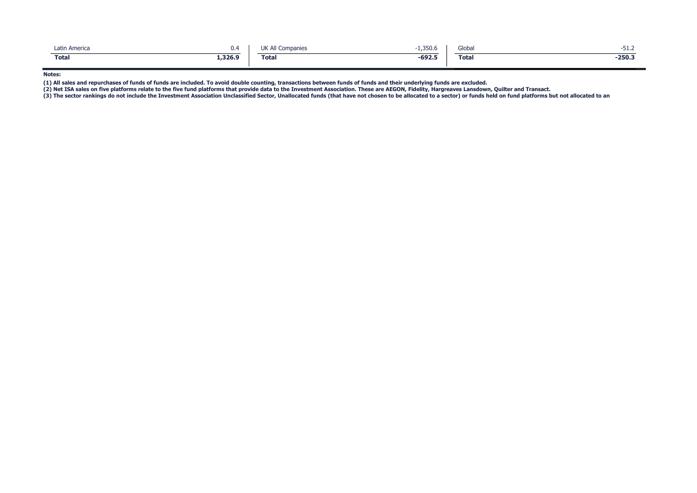| Latin America | U.S     | UK All Companies | 1,350.6  | Global       | ے.⊥כ−    |
|---------------|---------|------------------|----------|--------------|----------|
| <b>Total</b>  | 1,326.9 | <b>Total</b>     | $-692.5$ | <b>Total</b> | $-250.3$ |

Notes:

(1) All sales and repurchases of funds of funds are included. To avoid double counting, transactions between funds of funds and their underlying funds are excluded.<br>(2) Net ISA sales on five platforms relate to the five fu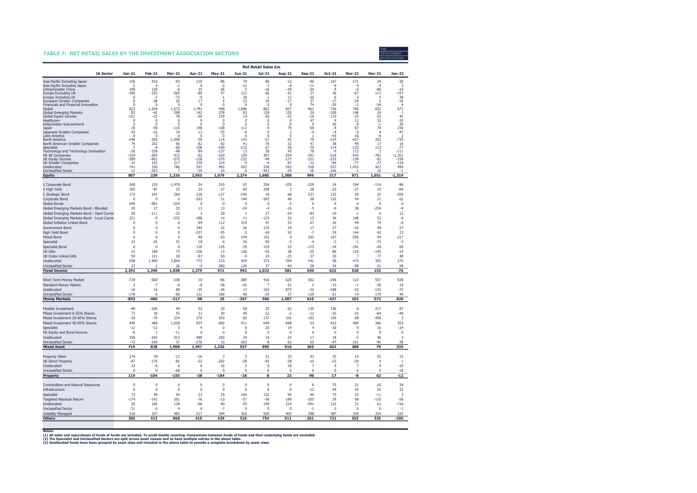#### TABLE 7: NET RETAIL SALES BY THE INVESTMENT ASSOCIATION SECTORS



|                                                                 | <b>Net Retail Sales £m</b> |                    |                       |                             |                      |                   |                             |                      |                               |                               |                               |                               |                    |
|-----------------------------------------------------------------|----------------------------|--------------------|-----------------------|-----------------------------|----------------------|-------------------|-----------------------------|----------------------|-------------------------------|-------------------------------|-------------------------------|-------------------------------|--------------------|
| <b>IA Sector</b>                                                | $Jan-21$                   | Feb-21             | <b>Mar-21</b>         | Apr-21                      | <b>May-21</b>        | Jun-21            | Jul-21                      | Aug-21               | $Sep-21$                      | Oct-21                        | <b>Nov-21</b>                 | <b>Dec-21</b>                 | <b>Jan-22</b>      |
| Asia Pacific Excluding Japan                                    | 156                        | 510                | -93                   | 210                         | 86                   | 79                | 80                          | $-13$                | $-96$                         | 167                           | $-171$                        | 24                            | $-30$              |
| Asia Pacific Including Japan<br>China/Greater China             | $-1$<br>10 <sup>q</sup>    | 9<br>120           | $-1$<br>-6            | $\mathbf 0$<br>35           | $-2$<br>-26          | $-12$<br>5        | $-7$<br>-16                 | $-8$<br>$-39$        | $-11$<br>-34                  | $-4$<br>$\mathbf{q}$          | $-4$<br>$-6$                  | $-4$<br>$-80$                 | 3<br>-14           |
| Europe Excluding UK                                             | $-180$                     | -192               | $-365$                | $-85$                       | 97                   | 212               | 66                          | 61                   | 27                            | 36                            | $-67$                         | 117                           | $-157$             |
| Europe Including UK<br>European Smaller Companies               | O<br>-9                    | $-7$<br>$-28$      | $-75$<br>20           | $-5$<br>17                  | -1<br>$\overline{4}$ | 20<br>15          | 1<br>26                     | 12<br>$-17$          | $-10$<br>37                   | 6<br>$-17$                    | 3<br>$-34$                    | 5<br>5                        | 38<br>$-16$        |
| Financials and Financial Innovation                             | $\theta$<br>823            | $\Omega$           | $\Omega$              | $\Omega$                    | $\Omega$<br>448      | $\Omega$          | $\Omega$                    | $\Omega$<br>837      | 74                            | $-20$<br>736                  | $-1$                          | $-34$                         | 4                  |
| Global<br><b>Global Emerging Markets</b>                        | 83                         | 1,204<br>$-42$     | 1,672<br>298          | 1,781<br>142                | 378                  | 1,096<br>83       | 862<br>139                  | 155                  | 961<br>20                     | $-100$                        | 766<br>146                    | 832<br>24                     | 671<br>-1          |
| Global Equity Income<br>Healthcare                              | $-101$<br>$\mathbf{0}$     | $-22$<br>$\pmb{0}$ | 78<br>$\Omega$        | $-60$<br>$\Omega$           | 159<br>$\Omega$      | 14<br>$\mathbf 0$ | 60<br>$\mathbf 0$           | $-53$<br>0           | -16<br>47                     | $-119$<br>4                   | $-33$<br>12                   | 92<br>32                      | 42<br>$-35$        |
| India/Indian Subcontinent                                       | $\Omega$                   | $\Omega$           | $\Omega$              | $\Omega$                    | $\Omega$             | $\Omega$          | $\mathbf 0$                 | $\Omega$             | $\mathbf{q}$                  | 26                            | -9                            | $-1$                          | 28                 |
| Japan<br>Japanese Smaller Companies                             | 29<br>43                   | $-59$<br>$-16$     | $-110$<br>24          | 148<br>13                   | 108<br>$-35$         | 111<br>$-4$       | -4<br>9                     | 79<br>$\overline{2}$ | -58<br>$-4$                   | $-4$<br>$-4$                  | 87<br>-5                      | 74<br>$\overline{4}$          | 230<br>$-47$       |
| Latin America                                                   | 0                          | $\mathbf 0$        | 0                     | $\mathbf 0$                 | $\mathbf 0$          | $\theta$          | $\mathbf 0$                 | 0                    | $\mathbf{1}$                  | $-43$                         | $-16$                         | -6                            | $\overline{2}$     |
| North America<br>North American Smaller Companies               | $-246$<br>74               | $-356$<br>252      | $-1.090$<br>66        | $-59$<br>82                 | 114<br>92            | 143<br>41         | $-57$<br>76                 | 91<br>32             | 79<br>47                      | $-214$<br>38                  | $-427$<br>49                  | 292<br>17                     | $-735$<br>16       |
| Specialist                                                      | -7                         | -4                 | -60                   | 106                         | -109                 | $-112$            | 67                          | 56                   | $-70$                         | 114                           | $-132$                        | 113                           | $-77$              |
| Technology and Technology Innovation<br><b>UK All Companies</b> | $-36$<br>$-319$            | $-158$<br>$-509$   | $-48$<br>472          | 89<br>$-62$                 | $-137$<br>$-324$     | 13<br>159         | 30<br>307                   | 43<br>$-354$         | 78<br>$-341$                  | $-9$<br>$-318$                | 113<br>$-542$                 | $-781$                        | $-111$<br>$-1,351$ |
| UK Equity Income                                                | -399                       | $-661$             | $-575$                | $-128$                      | $-375$               | $-232$            | $-44$                       | $-177$               | $-231$                        | $-233$                        | $-134$                        | $-92$                         | $-158$             |
| <b>UK Smaller Companies</b><br>Unallocated                      | 33<br>741                  | 142<br>350         | 217<br>786            | 239<br>547                  | 124<br>492           | $-a$<br>652       | $-4$<br>536                 | 87<br>543            | $-12$<br>518                  | $-94$<br>527                  | $-77$<br>1,453                | $-27$<br>427                  | $-116$<br>494      |
| <b>Unclassified Sector</b>                                      | 11                         | $-293$             |                       | $-54$                       | $-16$                | $\Omega$          | $-442$                      | $-29$                | $-18$                         | $-166$                        |                               | 16                            | $-1$               |
| <b>Equity</b>                                                   | 807                        | 239                | 1,216                 | 2,955                       | 1,079                | 2,274             | 1,685                       | 1,308                | 996                           | 317                           | 971                           | 1,051                         | $-1,319$           |
| £ Corporate Bond                                                | 268                        | 155                | $-1,470$              | 24                          | 310                  | $-25$             | 204                         | $-105$               | $-329$                        | 24                            | 194                           | $-114$                        | $-96$              |
| £ High Yield                                                    | 165                        | $-97$              | 33                    | 24                          | 37                   | 69                | 209                         | 3                    | 28                            | $-23$                         | $-27$                         | 10                            | $-64$              |
| £ Strategic Bond<br>Corporate Bond                              | 173<br>$\Omega$            | 241<br>$\Omega$    | 264<br>$\Omega$       | 230<br>$-263$               | $-137$<br>51         | $-199$<br>144     | 16<br>$-205$                | 68<br>40             | 237<br>58                     | 125<br>132                    | 28<br>94                      | 25<br>21                      | $-209$<br>62       |
| <b>Global Bonds</b>                                             | 649                        | $-991$             | $-524$                | $\Omega$                    | $\mathbf 0$          | $\mathbf 0$       | 0                           | $\mathbf 0$          | $\mathbf 0$                   | $^{\circ}$                    | $\mathbf 0$                   | $\Omega$                      | $\mathbf 0$        |
| Global Emerging Markets Bond - Blended                          | 29                         | 17                 | 35                    | 12                          | 13                   | $-24$             | $-4$                        | $-16$                | $-5$                          | $-9$                          | 38                            | $-259$                        | $-9$               |
| Global Emerging Markets Bond - Hard Currer                      | 50                         | $-111$             | $-33$                 | 3                           | 30                   | -1                | 27                          | $-24$                | $-83$                         | $-10$                         | $-1$                          | 6                             | 12                 |
| Global Emerging Markets Bond - Local Currer                     | 321                        | $-9$               | $-232$                | $-188$                      | 14                   | 11                | $-133$                      | 32                   | 15                            | 36                            | 108                           | 53                            | $-4$               |
| Global Inflation Linked Bond<br><b>Government Bond</b>          | $\theta$<br>0              | 0<br>$\Omega$      | 0<br>$\Omega$         | 94<br>244                   | 112<br>22            | 219<br>26         | 41<br>125                   | 53<br>19             | 67<br>17                      | 20<br>27                      | $-44$<br>$-10$                | 74<br>49                      | -6<br>$-37$        |
| High Yield Bond                                                 | $\Omega$                   | $\Omega$           | 0                     | $-237$                      | $-55$                | $\mathbf 0$       | 69                          | 93                   | $-7$                          | 29                            | 144                           | 42                            | 23                 |
| Mixed Bond                                                      | $\mathbf 0$                | $\mathbf 0$        | $\mathbf 0$           | 88                          | $-53$                | 144               | 192                         | $\overline{0}$       | 202                           | 107                           | $-356$                        | 54                            | $-217$             |
| Specialist                                                      | 32                         | $-25$              | 31                    | 18                          | 6                    | 26                | $-50$                       | $-3$                 | $-4$                          | $-2$                          | $-1$                          | $-73$                         | $-3$               |
| <b>Specialist Bond</b><br><b>UK Gilts</b>                       | $\mathbf{0}$<br>15         | $\mathbf 0$<br>189 | $\mathbf 0$<br>73     | 120<br>256                  | 155<br>13            | $-76$<br>136      | 153<br>$-55$                | 53<br>28             | $-175$<br>$-25$               | $-34$<br>86                   | $-141$<br>119                 | $-28$<br>$-145$               | 69<br>$-14$        |
| <b>UK Index Linked Gilts</b>                                    | 59                         | 121                | 30                    | 87                          | 50                   | $-9$              | 24                          | $-25$                | 37                            | 30                            | 7                             | 77                            | 48                 |
| Unallocated                                                     | 508                        | 1,900              | 2,804                 | 772                         | 123                  | 424               | 373                         | 299                  | 541                           | 58                            | 473                           | 392                           | 270                |
| <b>Unclassified Sector</b>                                      | 23                         | 2                  | 26                    | $-3$                        | 280                  | 126               | 37                          | 64                   | 58                            | 34                            | $-98$                         | $-31$                         | 98                 |
| <b>Fixed Income</b>                                             | 2,292                      | 1,390              | 1,038                 | 1,279                       | 971                  | 992               | 1,022                       | 581                  | 630                           | 632                           | 528                           | 153                           | -76                |
| Short Term Money Market                                         | $-734$                     | $-500$             | $-338$                | 10                          | $-86$                | $-389$            | 416                         | 625                  | 502                           | $-296$                        | 122                           | 557                           | 838                |
| <b>Standard Money Market</b>                                    | 3                          | $-7$               | -6                    | -8                          | $-38$                | $-42$             | $\overline{7}$              | 51                   | $\overline{2}$                | $-13$                         | $-1$                          | $-30$                         | 14                 |
| Unallocated<br><b>Unclassified Sector</b>                       | 16<br>$-178$               | 16<br>6            | 88<br>-60             | $-25$<br>121                | $-36$<br>186         | 17<br>46          | 103<br>$-20$                | 875<br>37            | $-22$<br>129                  | $-188$<br>61                  | $-33$<br>14                   | $-133$<br>179                 | $-72$<br>40        |
| <b>Money Markets</b>                                            | $-893$                     | -486               | $-317$                | 98                          | 25                   | -367              | 506                         | 1,587                | 610                           | $-437$                        | 102                           | 572                           | 820                |
| <b>Flexible Investment</b>                                      | $-48$                      | $-106$             | 49                    | 52                          | 29                   | 58                | 25                          | 62                   | 135                           | 136                           | 6                             | 217                           | 87                 |
| Mixed Investment 0-35% Shares                                   | 73                         | 30                 | 55                    | 21                          | 30                   | 49                | 52                          | $-2$                 | $-12$                         | $-35$                         | $-15$                         | $-64$                         | $-49$              |
| Mixed Investment 20-60% Shares                                  | $-18$                      | $-79$              | 234                   | 270                         | 203                  | 85                | 137                         | 101                  | 103                           | 150                           | 68                            | $-458$                        | 3                  |
| Mixed Investment 40-85% Shares<br>Specialist                    | 445<br>$-12$               | 468<br>$-12$       | 1.028<br>3            | 937<br>4                    | 692<br>$\Omega$      | 911<br>8          | 649<br>20                   | 648<br>14            | 53<br>$\overline{4}$          | 412<br>$-30$                  | 484<br>$\mathsf{q}$           | 366<br>16                     | 353<br>$-24$       |
| UK Equity and Bond Income                                       | $-6$                       | $\overline{1}$     | $-11$                 | $\Omega$                    | $\Omega$             | $\mathbf{0}$      | $\Omega$                    | $\Omega$             | $\Omega$                      | $\Omega$                      | $\Omega$                      | $\Omega$                      | $\mathbf 0$        |
| Unallocated                                                     | 358                        | 643                | 513                   | 489                         | 250                  | 29                | 14                          | 25                   | 17                            | 18                            | $-2$                          | 46                            | 3                  |
| <b>Unclassified Sector</b>                                      | $-72$                      | $-106$             | 37                    | $-276$                      | 33                   | $-203$            | $-8$                        | 63                   | 65                            | $-47$                         | $-161$                        | $-45$                         | $-38$              |
| <b>Mixed Asset</b>                                              | 719                        | 838                | 1,908                 | 1,497                       | 1,236                | 937               | 890                         | 910                  | 365                           | 602                           | 388                           | 79                            | 335                |
| Property Other                                                  | 174                        | 78                 | $-12$                 | $-16$                       | 3                    | 5                 | 51                          | 33                   | 93                            | 35                            | 14                            | 55                            | 15                 |
| <b>UK Direct Property</b>                                       | $-87$                      | $-176$             | $-81$                 | $-22$                       | $-202$               | $-28$             | $-42$                       | $-28$                | $-10$                         | $-22$                         | $-29$                         | $\overline{4}$                | $\mathbf{1}$       |
| Unallocated<br><b>Unclassified Sector</b>                       | 32<br>$\mathbf 0$          | -6<br>$\mathbf 0$  | 6<br>$-68$            | $\mathbf 0$<br>$\mathbf{0}$ | 16<br>$\mathbf 0$    | 5<br>$\mathbf{0}$ | $\mathbf 0$<br>$\mathbf{0}$ | 18<br>$\mathbf{0}$   | $\overline{7}$<br>$\mathbf 0$ | $\overline{4}$<br>$\mathbf 0$ | $\overline{7}$<br>$\mathbf 0$ | $\overline{4}$<br>$\mathbf 0$ | $-10$<br>$-18$     |
| <b>Property</b>                                                 | 119                        | $-104$             | $-155$                | $-38$                       | $-184$               | $-18$             | 8                           | 23                   | 90                            | 17                            | -8                            | 62                            | $-12$              |
| Commodities and Natural Resources                               | $\mathbf 0$                | 0                  | 0                     | $\pmb{0}$                   | 0                    | $\pmb{0}$         | $\pmb{0}$                   | $\pmb{0}$            | 6                             | 75                            | 21                            | $-10$                         | 24                 |
| Infrastructure                                                  | 0                          | 0                  | 0                     | $\mathbf 0$                 | $\pmb{0}$            | $\mathbf 0$       | $\mathbf 0$                 | $\mathbf 0$          | $-12$                         | 44                            | 42                            | 52                            | 32                 |
| Specialist                                                      | 73                         | 49                 | 43                    | 23                          | 25                   | 166               | 152                         | 95                   | 46                            | 75                            | 23                            | $-11$                         | 3                  |
| <b>Targeted Absolute Return</b>                                 | $-174$                     | $-143$             | 201                   | $-76$                       | $-13$                | $-57$             | $-56$                       | 189                  | $-105$                        | 29                            | 98                            | $-110$                        | $-56$              |
| Unallocated                                                     | 50                         | 165                | 138                   | $-60$                       | 40                   | 45                | 149                         | 224                  | $-591$                        | 122                           | 21                            | 61                            | $-716$             |
| <b>Unclassified Sector</b><br><b>Volatility Managed</b>         | 21<br>310                  | 6<br>337           | $\overline{4}$<br>483 | 6<br>517                    | $-7$<br>394          | 9<br>363          | $\mathbf 0$<br>509          | $\mathbf 0$<br>403   | $-1$<br>398                   | $\pmb{0}$<br>387              | $\pmb{0}$<br>350              | $\mathbf 0$<br>354            | $-1$<br>325        |
| <b>Others</b>                                                   | 280                        | 413                | 868                   | 410                         | 439                  | 526               | 754                         | 911                  | $-261$                        | 732                           | 555                           | 335                           | -390               |

Notes:<br>(1) All sales and repurchases of funds of funds are included. To avoid double counting, transactions between funds of funds and their underlying funds are excluded.

(2) The Specialist and Unclassified Sectors are split across asset classes and so have multiple entries in the above table.<br>(3) Unallocated funds have been grouped by asset class and included in the above table to provide

7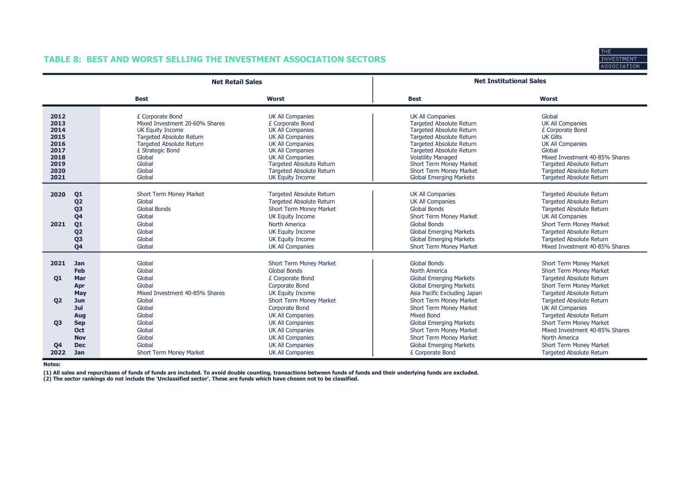# TABLE 8: BEST AND WORST SELLING THE INVESTMENT ASSOCIATION SECTORS



|                                                                              |                                                                                                                                  | <b>Net Retail Sales</b>                                                                                                                                                                           |                                                                                                                                                                                                                                                                |                                                                                                                                                                                                                                                                                                                             | <b>Net Institutional Sales</b>                                                                                                                                                                                                          |
|------------------------------------------------------------------------------|----------------------------------------------------------------------------------------------------------------------------------|---------------------------------------------------------------------------------------------------------------------------------------------------------------------------------------------------|----------------------------------------------------------------------------------------------------------------------------------------------------------------------------------------------------------------------------------------------------------------|-----------------------------------------------------------------------------------------------------------------------------------------------------------------------------------------------------------------------------------------------------------------------------------------------------------------------------|-----------------------------------------------------------------------------------------------------------------------------------------------------------------------------------------------------------------------------------------|
|                                                                              |                                                                                                                                  | <b>Best</b>                                                                                                                                                                                       | <b>Worst</b>                                                                                                                                                                                                                                                   | <b>Best</b>                                                                                                                                                                                                                                                                                                                 | <b>Worst</b>                                                                                                                                                                                                                            |
| 2012<br>2013<br>2014<br>2015<br>2016<br>2017<br>2018<br>2019<br>2020<br>2021 |                                                                                                                                  | £ Corporate Bond<br>Mixed Investment 20-60% Shares<br>UK Equity Income<br>Targeted Absolute Return<br><b>Targeted Absolute Return</b><br>£ Strategic Bond<br>Global<br>Global<br>Global<br>Global | <b>UK All Companies</b><br>£ Corporate Bond<br><b>UK All Companies</b><br><b>UK All Companies</b><br><b>UK All Companies</b><br><b>UK All Companies</b><br><b>UK All Companies</b><br>Targeted Absolute Return<br>Targeted Absolute Return<br>UK Equity Income | <b>UK All Companies</b><br><b>Targeted Absolute Return</b><br><b>Targeted Absolute Return</b><br><b>Targeted Absolute Return</b><br><b>Targeted Absolute Return</b><br><b>Targeted Absolute Return</b><br><b>Volatility Managed</b><br>Short Term Money Market<br>Short Term Money Market<br><b>Global Emerging Markets</b> | Global<br><b>UK All Companies</b><br>£ Corporate Bond<br><b>UK Gilts</b><br><b>UK All Companies</b><br>Global<br>Mixed Investment 40-85% Shares<br>Targeted Absolute Return<br>Targeted Absolute Return<br>Targeted Absolute Return     |
| 2020<br>2021                                                                 | Q <sub>1</sub><br>Q <sub>2</sub><br>Q <sub>3</sub><br>Q <sub>4</sub><br>Q1<br>Q <sub>2</sub><br>Q <sub>3</sub><br>Q <sub>4</sub> | Short Term Money Market<br>Global<br><b>Global Bonds</b><br>Global<br>Global<br>Global<br>Global<br>Global                                                                                        | Targeted Absolute Return<br>Targeted Absolute Return<br>Short Term Money Market<br>UK Equity Income<br>North America<br>UK Equity Income<br>UK Equity Income<br><b>UK All Companies</b>                                                                        | <b>UK All Companies</b><br><b>UK All Companies</b><br>Global Bonds<br>Short Term Money Market<br><b>Global Bonds</b><br><b>Global Emerging Markets</b><br><b>Global Emerging Markets</b><br>Short Term Money Market                                                                                                         | Targeted Absolute Return<br>Targeted Absolute Return<br>Targeted Absolute Return<br><b>UK All Companies</b><br>Short Term Money Market<br>Targeted Absolute Return<br><b>Targeted Absolute Return</b><br>Mixed Investment 40-85% Shares |
| 2021<br><b>01</b><br><b>Q2</b>                                               | Jan<br>Feb<br>Mar<br>Apr<br>May<br>Jun<br>Jul                                                                                    | Global<br>Global<br>Global<br>Global<br>Mixed Investment 40-85% Shares<br>Global<br>Global                                                                                                        | Short Term Money Market<br>Global Bonds<br>£ Corporate Bond<br>Corporate Bond<br>UK Equity Income<br>Short Term Money Market<br>Corporate Bond                                                                                                                 | <b>Global Bonds</b><br>North America<br><b>Global Emerging Markets</b><br><b>Global Emerging Markets</b><br>Asia Pacific Excluding Japan<br>Short Term Money Market<br>Short Term Money Market                                                                                                                              | Short Term Money Market<br>Short Term Money Market<br>Targeted Absolute Return<br>Short Term Money Market<br>Targeted Absolute Return<br>Targeted Absolute Return<br><b>UK All Companies</b>                                            |
| 03<br>Q <sub>4</sub><br>2022                                                 | Aug<br><b>Sep</b><br>Oct<br><b>Nov</b><br><b>Dec</b><br><b>Jan</b>                                                               | Global<br>Global<br>Global<br>Global<br>Global<br>Short Term Money Market                                                                                                                         | <b>UK All Companies</b><br><b>UK All Companies</b><br><b>UK All Companies</b><br><b>UK All Companies</b><br><b>UK All Companies</b><br><b>UK All Companies</b>                                                                                                 | <b>Mixed Bond</b><br><b>Global Emerging Markets</b><br>Short Term Money Market<br>Short Term Money Market<br><b>Global Emerging Markets</b><br>£ Corporate Bond                                                                                                                                                             | Targeted Absolute Return<br>Short Term Money Market<br>Mixed Investment 40-85% Shares<br>North America<br>Short Term Money Market<br><b>Targeted Absolute Return</b>                                                                    |

Notes:

(1) All sales and repurchases of funds of funds are included. To avoid double counting, transactions between funds of funds and their underlying funds are excluded.<br>(2) The sector rankings do not include the 'Unclassified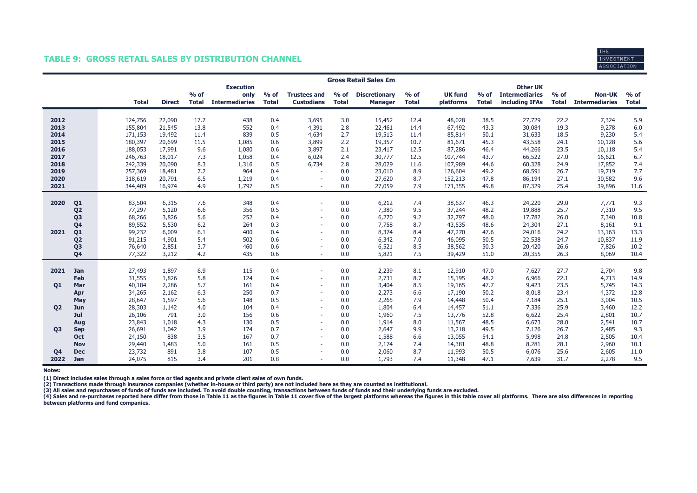### TABLE 9: GROSS RETAIL SALES BY DISTRIBUTION CHANNEL



|                |                                  | <b>Gross Retail Sales £m</b> |                    |                  |              |                               |              |                                          |                        |                      |              |                  |              |                                          |              |                       |              |
|----------------|----------------------------------|------------------------------|--------------------|------------------|--------------|-------------------------------|--------------|------------------------------------------|------------------------|----------------------|--------------|------------------|--------------|------------------------------------------|--------------|-----------------------|--------------|
|                |                                  |                              |                    |                  | $%$ of       | <b>Execution</b>              | $%$ of       |                                          |                        | <b>Discretionary</b> | $%$ of       | <b>UK fund</b>   | $%$ of       | <b>Other UK</b><br><b>Intermediaries</b> | $%$ of       | <b>Non-UK</b>         | $%$ of       |
|                |                                  |                              | <b>Total</b>       | <b>Direct</b>    | <b>Total</b> | only<br><b>Intermediaries</b> | <b>Total</b> | <b>Trustees and</b><br><b>Custodians</b> | $%$ of<br><b>Total</b> | <b>Manager</b>       | <b>Total</b> | platforms        | <b>Total</b> | including IFAs                           | <b>Total</b> | <b>Intermediaries</b> | <b>Total</b> |
|                |                                  |                              |                    |                  |              |                               |              |                                          |                        |                      |              |                  |              |                                          |              |                       |              |
| 2012           |                                  |                              | 124,756            | 22,090           | 17.7         | 438                           | 0.4          | 3,695                                    | 3.0                    | 15,452               | 12.4         | 48,028           | 38.5         | 27,729                                   | 22.2         | 7,324                 | 5.9          |
| 2013           |                                  |                              | 155,804            | 21,545           | 13.8         | 552<br>839                    | 0.4          | 4,391                                    | 2.8                    | 22,461               | 14.4         | 67,492           | 43.3         | 30,084                                   | 19.3         | 9,278                 | 6.0          |
| 2014<br>2015   |                                  |                              | 171,153<br>180,397 | 19,492<br>20,699 | 11.4<br>11.5 | 1,085                         | 0.5<br>0.6   | 4,634<br>3,899                           | 2.7<br>2.2             | 19,513<br>19,357     | 11.4<br>10.7 | 85,814<br>81,671 | 50.1<br>45.3 | 31,633<br>43,558                         | 18.5<br>24.1 | 9,230<br>10,128       | 5.4<br>5.6   |
| 2016           |                                  |                              | 188,053            | 17,991           | 9.6          | 1,080                         | 0.6          | 3,897                                    | 2.1                    | 23,417               | 12.5         | 87,286           | 46.4         | 44,266                                   | 23.5         | 10,118                | 5.4          |
| 2017           |                                  |                              | 246,763            | 18,017           | 7.3          | 1,058                         | 0.4          | 6,024                                    | 2.4                    | 30,777               | 12.5         | 107,744          | 43.7         | 66,522                                   | 27.0         | 16,621                | 6.7          |
| 2018           |                                  |                              | 242,339            | 20,090           | 8.3          | 1,316                         | 0.5          | 6,734                                    | 2.8                    | 28,029               | 11.6         | 107,989          | 44.6         | 60,328                                   | 24.9         | 17,852                | 7.4          |
| 2019           |                                  |                              | 257,369            | 18,481           | 7.2          | 964                           | 0.4          |                                          | 0.0                    | 23,010               | 8.9          | 126,604          | 49.2         | 68,591                                   | 26.7         | 19,719                | 7.7          |
| 2020           |                                  |                              | 318,619            | 20,791           | 6.5          | 1,219                         | 0.4          | $\sim$                                   | 0.0                    | 27,620               | 8.7          | 152,213          | 47.8         | 86,194                                   | 27.1         | 30,582                | 9.6          |
| 2021           |                                  |                              | 344,409            | 16,974           | 4.9          | 1,797                         | 0.5          | $\sim$                                   | 0.0                    | 27,059               | 7.9          | 171,355          | 49.8         | 87,329                                   | 25.4         | 39,896                | 11.6         |
|                |                                  |                              |                    |                  |              |                               |              |                                          |                        |                      |              |                  |              |                                          |              |                       |              |
| 2020           | Q <sub>1</sub>                   |                              | 83,504<br>77,297   | 6,315<br>5,120   | 7.6<br>6.6   | 348<br>356                    | 0.4<br>0.5   | ٠<br>٠                                   | 0.0<br>0.0             | 6,212<br>7,380       | 7.4<br>9.5   | 38,637<br>37,244 | 46.3<br>48.2 | 24,220<br>19,888                         | 29.0<br>25.7 | 7,771<br>7,310        | 9.3<br>9.5   |
|                | Q <sub>2</sub>                   |                              | 68,266             | 3,826            | 5.6          | 252                           | 0.4          |                                          | 0.0                    | 6,270                | 9.2          | 32,797           | 48.0         | 17,782                                   | 26.0         | 7,340                 | 10.8         |
|                | Q <sub>3</sub><br>Q <sub>4</sub> |                              | 89,552             | 5,530            | 6.2          | 264                           | 0.3          |                                          | 0.0                    | 7,758                | 8.7          | 43,535           | 48.6         | 24,304                                   | 27.1         | 8,161                 | 9.1          |
| 2021           | Q <sub>1</sub>                   |                              | 99,232             | 6,009            | 6.1          | 400                           | 0.4          | $\sim$                                   | 0.0                    | 8,374                | 8.4          | 47,270           | 47.6         | 24,016                                   | 24.2         | 13,163                | 13.3         |
|                | Q <sub>2</sub>                   |                              | 91,215             | 4,901            | 5.4          | 502                           | 0.6          | $\sim$                                   | 0.0                    | 6,342                | 7.0          | 46,095           | 50.5         | 22,538                                   | 24.7         | 10,837                | 11.9         |
|                | Q <sub>3</sub>                   |                              | 76,640             | 2,851            | 3.7          | 460                           | 0.6          |                                          | 0.0                    | 6,521                | 8.5          | 38,562           | 50.3         | 20,420                                   | 26.6         | 7,826                 | 10.2         |
|                | Q <sub>4</sub>                   |                              | 77,322             | 3,212            | 4.2          | 435                           | 0.6          | $\overline{\phantom{a}}$                 | 0.0                    | 5,821                | 7.5          | 39,429           | 51.0         | 20,355                                   | 26.3         | 8,069                 | 10.4         |
| 2021           | <b>Jan</b>                       |                              | 27,493             | 1,897            | 6.9          | 115                           | 0.4          | $\sim$                                   | 0.0                    | 2,239                | 8.1          |                  |              | 7,627                                    | 27.7         | 2,704                 | 9.8          |
|                | Feb                              |                              | 31,555             | 1,826            | 5.8          | 124                           | 0.4          | ٠                                        | 0.0                    | 2,731                | 8.7          | 12,910<br>15,195 | 47.0<br>48.2 | 6,966                                    | 22.1         | 4,713                 | 14.9         |
| 01             | Mar                              |                              | 40,184             | 2,286            | 5.7          | 161                           | 0.4          | ٠                                        | 0.0                    | 3,404                | 8.5          | 19,165           | 47.7         | 9,423                                    | 23.5         | 5,745                 | 14.3         |
|                | Apr                              |                              | 34,265             | 2,162            | 6.3          | 250                           | 0.7          | $\sim$                                   | 0.0                    | 2,273                | 6.6          | 17,190           | 50.2         | 8,018                                    | 23.4         | 4,372                 | 12.8         |
|                | May                              |                              | 28,647             | 1,597            | 5.6          | 148                           | 0.5          | $\sim$                                   | 0.0                    | 2,265                | 7.9          | 14,448           | 50.4         | 7,184                                    | 25.1         | 3,004                 | 10.5         |
| <b>Q2</b>      | Jun                              |                              | 28,303             | 1,142            | 4.0          | 104                           | 0.4          |                                          | 0.0                    | 1,804                | 6.4          | 14,457           | 51.1         | 7,336                                    | 25.9         | 3,460                 | 12.2         |
|                | Jul                              |                              | 26,106             | 791              | 3.0          | 156                           | 0.6          | ٠                                        | 0.0                    | 1,960                | 7.5          | 13,776           | 52.8         | 6,622                                    | 25.4         | 2,801                 | 10.7         |
|                | Aug                              |                              | 23,843             | 1,018            | 4.3          | 130                           | 0.5          | ٠                                        | 0.0                    | 1,914                | 8.0          | 11,567           | 48.5         | 6,673                                    | 28.0         | 2,541                 | 10.7         |
| <b>Q3</b>      | <b>Sep</b>                       |                              | 26,691             | 1,042            | 3.9          | 174                           | 0.7          | ٠                                        | 0.0                    | 2,647                | 9.9          | 13,218           | 49.5         | 7,126                                    | 26.7         | 2,485                 | 9.3          |
|                | <b>Oct</b>                       |                              | 24,150             | 838              | 3.5          | 167                           | 0.7          | $\sim$                                   | 0.0                    | 1,588                | 6.6          | 13,055           | 54.1         | 5,998                                    | 24.8         | 2,505                 | 10.4         |
|                | <b>Nov</b>                       |                              | 29,440             | 1,483            | 5.0          | 161                           | 0.5          | $\sim$                                   | 0.0                    | 2,174                | 7.4          | 14,381           | 48.8         | 8,281                                    | 28.1         | 2,960                 | 10.1         |
| Q <sub>4</sub> | <b>Dec</b>                       |                              | 23,732             | 891              | 3.8          | 107                           | 0.5          |                                          | 0.0                    | 2,060                | 8.7          | 11,993           | 50.5         | 6,076                                    | 25.6         | 2,605                 | 11.0         |
| 2022           | Jan                              |                              | 24,075             | 815              | 3.4          | 201                           | 0.8          |                                          | 0.0                    | 1,793                | 7.4          | 11,348           | 47.1         | 7,639                                    | 31.7         | 2,278                 | 9.5          |

Notes:

(1) Direct includes sales through a sales force or tied agents and private client sales of own funds.<br>(2) Transactions made through insurance companies (whether in-house or third party) are not included here as they are co

(3) All sales and repurchases of funds of funds are included. To avoid double counting, transactions between funds of funds and their underlying funds are excluded.<br>(4) Sales and re-purchases reported here differ from thos between platforms and fund companies.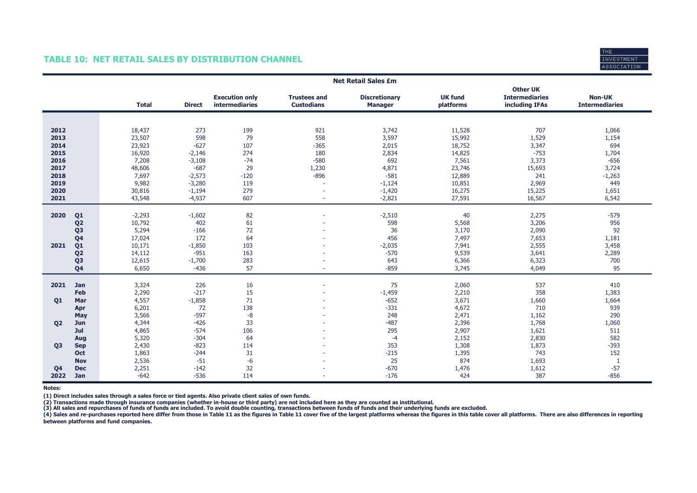# TABLE 10: NET RETAIL SALES BY DISTRIBUTION CHANNEL



|                |                | <b>Net Retail Sales £m</b> |               |                                         |                                          |                                        |                             |                                                            |                                        |  |  |
|----------------|----------------|----------------------------|---------------|-----------------------------------------|------------------------------------------|----------------------------------------|-----------------------------|------------------------------------------------------------|----------------------------------------|--|--|
|                |                | <b>Total</b>               | <b>Direct</b> | <b>Execution only</b><br>intermediaries | <b>Trustees and</b><br><b>Custodians</b> | <b>Discretionary</b><br><b>Manager</b> | <b>UK fund</b><br>platforms | <b>Other UK</b><br><b>Intermediaries</b><br>including IFAs | <b>Non-UK</b><br><b>Intermediaries</b> |  |  |
|                |                |                            |               |                                         |                                          |                                        |                             |                                                            |                                        |  |  |
|                |                |                            |               |                                         |                                          |                                        |                             |                                                            |                                        |  |  |
| 2012           |                | 18,437                     | 273           | 199                                     | 921                                      | 3,742                                  | 11,528                      | 707                                                        | 1,066                                  |  |  |
| 2013           |                | 23,507                     | 598           | 79                                      | 558                                      | 3,597                                  | 15,992                      | 1,529                                                      | 1,154                                  |  |  |
| 2014           |                | 23,923                     | $-627$        | 107                                     | $-365$                                   | 2,015                                  | 18,752                      | 3,347                                                      | 694                                    |  |  |
| 2015           |                | 16,920                     | $-2,146$      | 274                                     | 180                                      | 2,834                                  | 14,825                      | $-753$                                                     | 1,704                                  |  |  |
| 2016           |                | 7,208                      | $-3,108$      | $-74$                                   | $-580$                                   | 692                                    | 7,561                       | 3,373                                                      | $-656$                                 |  |  |
| 2017           |                | 48,606                     | $-687$        | 29                                      | 1,230                                    | 4,871                                  | 23,746                      | 15,693                                                     | 3,724                                  |  |  |
| 2018           |                | 7,697                      | $-2,573$      | $-120$                                  | $-896$                                   | $-581$                                 | 12,889                      | 241                                                        | $-1,263$                               |  |  |
| 2019           |                | 9,982                      | $-3,280$      | 119                                     |                                          | $-1,124$                               | 10,851                      | 2,969                                                      | 449                                    |  |  |
| 2020           |                | 30,816                     | $-1,194$      | 279                                     | $\overline{\phantom{a}}$                 | $-1,420$                               | 16,275                      | 15,225                                                     | 1,651                                  |  |  |
| 2021           |                | 43,548                     | $-4,937$      | 607                                     | $\sim$                                   | $-2,821$                               | 27,591                      | 16,567                                                     | 6,542                                  |  |  |
|                |                |                            |               |                                         |                                          |                                        |                             |                                                            |                                        |  |  |
| 2020           | Q <sub>1</sub> | $-2,293$                   | $-1,602$      | 82                                      |                                          | $-2,510$                               | 40                          | 2,275                                                      | $-579$                                 |  |  |
|                | Q <sub>2</sub> | 10,792                     | 402           | 61                                      |                                          | 598                                    | 5,568                       | 3,206                                                      | 956                                    |  |  |
|                | Q <sub>3</sub> | 5,294                      | $-166$        | 72                                      |                                          | 36                                     | 3,170                       | 2,090                                                      | 92                                     |  |  |
|                | Q <sub>4</sub> | 17,024                     | 172           | 64                                      |                                          | 456                                    | 7,497                       | 7,653                                                      | 1,181                                  |  |  |
| 2021           | Q <sub>1</sub> | 10,171                     | $-1,850$      | 103                                     |                                          | $-2,035$                               | 7,941                       | 2,555                                                      | 3,458                                  |  |  |
|                | Q <sub>2</sub> | 14,112                     | $-951$        | 163                                     |                                          | $-570$                                 | 9,539                       | 3,641                                                      | 2,289                                  |  |  |
|                | Q <sub>3</sub> | 12,615                     | $-1,700$      | 283                                     |                                          | 643                                    | 6,366                       | 6,323                                                      | 700                                    |  |  |
|                | Q <sub>4</sub> | 6,650                      | $-436$        | 57                                      |                                          | $-859$                                 | 3,745                       | 4,049                                                      | 95                                     |  |  |
|                |                |                            |               |                                         |                                          |                                        |                             |                                                            |                                        |  |  |
| 2021           | Jan            | 3,324                      | 226           | 16                                      |                                          | 75                                     | 2,060                       | 537                                                        | 410                                    |  |  |
|                | Feb            | 2,290                      | $-217$        | 15                                      |                                          | $-1,459$                               | 2,210                       | 358                                                        | 1,383                                  |  |  |
| Q1             | Mar            | 4,557                      | $-1,858$      | 71                                      |                                          | $-652$                                 | 3,671                       | 1,660                                                      | 1,664                                  |  |  |
|                | Apr            | 6,201                      | 72            | 138                                     |                                          | $-331$                                 | 4,672                       | 710                                                        | 939                                    |  |  |
|                | May            | 3,566                      | $-597$        | $-8$                                    |                                          | 248                                    | 2,471                       | 1,162                                                      | 290                                    |  |  |
| Q <sub>2</sub> | Jun            | 4,344                      | $-426$        | 33                                      |                                          | $-487$                                 | 2,396                       | 1,768                                                      | 1,060                                  |  |  |
|                | Jul            | 4,865                      | $-574$        | 106                                     |                                          | 295                                    | 2,907                       | 1,621                                                      | 511                                    |  |  |
|                | Aug            | 5,320                      | $-304$        | 64                                      |                                          | $-4$                                   | 2,152                       | 2,830                                                      | 582                                    |  |  |
| <b>Q3</b>      | <b>Sep</b>     | 2,430                      | $-823$        | 114                                     |                                          | 353                                    | 1,308                       | 1,873                                                      | $-393$                                 |  |  |
|                | Oct            | 1,863                      | $-244$        | 31                                      |                                          | $-215$                                 | 1,395                       | 743                                                        | 152                                    |  |  |
|                | <b>Nov</b>     | 2,536                      | $-51$         | $-6$                                    |                                          | 25                                     | 874                         | 1,693                                                      | $\mathbf{1}$                           |  |  |
| Q <sub>4</sub> | <b>Dec</b>     | 2,251                      | $-142$        | 32                                      |                                          | $-670$                                 | 1,476                       | 1,612                                                      | $-57$                                  |  |  |
| 2022           | Jan            | $-642$                     | $-536$        | 114                                     |                                          | $-176$                                 | 424                         | 387                                                        | $-856$                                 |  |  |

Notes:

(1) Direct includes sales through a sales force or tied agents. Also private client sales of own funds.

(2) Transactions made through insurance companies (whether in-house or third party) are not included here as they are counted as institutional.<br>(3) All sales and repurchases of funds of funds are included. To avoid double

(4) Sales and re-purchases reported here differ from those in Table 11 as the figures in Table 11 cover five of the largest platforms whereas the figures in this table cover all platforms. There are also differences in rep between platforms and fund companies.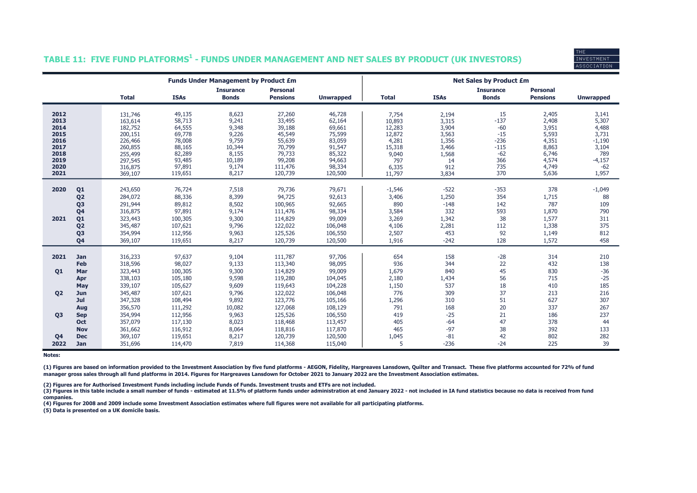# **INVESTMENT ASSOCIATION**

### TABLE 11: FIVE FUND PLATFORMS $^{\rm 1}$  - FUNDS UNDER MANAGEMENT AND NET SALES BY PRODUCT (UK INVESTORS)

|                |                |              |             | <b>Funds Under Management by Product £m</b> |                                    |                  | <b>Net Sales by Product £m</b> |             |                                  |                                    |                  |  |
|----------------|----------------|--------------|-------------|---------------------------------------------|------------------------------------|------------------|--------------------------------|-------------|----------------------------------|------------------------------------|------------------|--|
|                |                | <b>Total</b> | <b>ISAs</b> | <b>Insurance</b><br><b>Bonds</b>            | <b>Personal</b><br><b>Pensions</b> |                  | <b>Total</b>                   | <b>ISAs</b> | <b>Insurance</b><br><b>Bonds</b> | <b>Personal</b><br><b>Pensions</b> |                  |  |
|                |                |              |             |                                             |                                    | <b>Unwrapped</b> |                                |             |                                  |                                    | <b>Unwrapped</b> |  |
| 2012           |                | 131,746      | 49,135      | 8,623                                       | 27,260                             | 46,728           | 7,754                          | 2,194       | 15                               | 2,405                              | 3,141            |  |
| 2013           |                | 163,614      | 58,713      | 9,241                                       | 33,495                             | 62,164           | 10,893                         | 3,315       | $-137$                           | 2,408                              | 5,307            |  |
| 2014           |                | 182,752      | 64,555      | 9,348                                       | 39,188                             | 69,661           | 12,283                         | 3,904       | $-60$                            | 3,951                              | 4,488            |  |
| 2015           |                | 200,151      | 69,778      | 9,226                                       | 45,549                             | 75,599           | 12,872                         | 3,563       | $-15$                            | 5,593                              | 3,731            |  |
| 2016           |                | 226,466      | 78,008      | 9,759                                       | 55,639                             | 83,059           | 4,281                          | 1,356       | $-236$                           | 4,351                              | $-1,190$         |  |
| 2017           |                | 260,855      | 88,165      | 10,344                                      | 70,799                             | 91,547           | 15,318                         | 3,466       | $-115$                           | 8,863                              | 3,104            |  |
| 2018           |                | 255,499      | 82,289      | 8,155                                       | 79,733                             | 85,322           | 9,040                          | 1,568       | $-62$                            | 6,746                              | 789              |  |
| 2019           |                | 297,545      | 93,485      | 10,189                                      | 99,208                             | 94,663           | 797                            | 14          | 366                              | 4,574                              | $-4,157$         |  |
| 2020           |                | 316,875      | 97,891      | 9,174                                       | 111,476                            | 98,334           | 6,335                          | 912         | 735                              | 4,749                              | $-62$            |  |
| 2021           |                | 369,107      | 119,651     | 8,217                                       | 120,739                            | 120,500          | 11,797                         | 3,834       | 370                              | 5,636                              | 1,957            |  |
|                |                |              |             |                                             |                                    |                  |                                |             |                                  |                                    |                  |  |
| 2020           | Q <sub>1</sub> | 243,650      | 76,724      | 7,518                                       | 79,736                             | 79,671           | $-1,546$                       | $-522$      | $-353$                           | 378                                | $-1,049$         |  |
|                | Q <sub>2</sub> | 284,072      | 88,336      | 8,399                                       | 94,725                             | 92,613           | 3,406                          | 1,250       | 354                              | 1,715                              | 88               |  |
|                | Q <sub>3</sub> | 291,944      | 89,812      | 8,502                                       | 100,965                            | 92,665           | 890                            | $-148$      | 142                              | 787                                | 109              |  |
|                | Q <sub>4</sub> | 316,875      | 97,891      | 9,174                                       | 111,476                            | 98,334           | 3,584                          | 332         | 593                              | 1,870                              | 790              |  |
| 2021           | Q <sub>1</sub> | 323,443      | 100,305     | 9,300                                       | 114,829                            | 99,009           | 3,269                          | 1,342       | 38                               | 1,577                              | 311              |  |
|                | Q <sub>2</sub> | 345,487      | 107,621     | 9,796                                       | 122,022                            | 106,048          | 4,106                          | 2,281       | 112                              | 1,338                              | 375              |  |
|                | Q3             | 354,994      | 112,956     | 9,963                                       | 125,526                            | 106,550          | 2,507                          | 453         | 92                               | 1,149                              | 812              |  |
|                | Q <sub>4</sub> | 369,107      | 119,651     | 8,217                                       | 120,739                            | 120,500          | 1,916                          | $-242$      | 128                              | 1,572                              | 458              |  |
|                |                |              |             |                                             |                                    |                  |                                |             |                                  |                                    |                  |  |
| 2021           | Jan            | 316,233      | 97,637      | 9,104                                       | 111,787                            | 97,706           | 654                            | 158         | $-28$                            | 314                                | 210              |  |
|                | Feb            | 318,596      | 98,027      | 9,133                                       | 113,340                            | 98,095           | 936                            | 344         | 22                               | 432                                | 138              |  |
| Q1             | Mar            | 323,443      | 100,305     | 9,300                                       | 114,829                            | 99,009           | 1,679                          | 840         | 45                               | 830                                | $-36$            |  |
|                | Apr            | 338,103      | 105,180     | 9,598                                       | 119,280                            | 104,045          | 2,180                          | 1,434       | 56                               | 715                                | $-25$            |  |
|                | May            | 339,107      | 105,627     | 9,609                                       | 119,643                            | 104,228          | 1,150                          | 537         | 18                               | 410                                | 185              |  |
| Q <sub>2</sub> | Jun            | 345,487      | 107,621     | 9,796                                       | 122,022                            | 106,048          | 776                            | 309         | 37                               | 213                                | 216              |  |
|                | Jul            | 347,328      | 108,494     | 9,892                                       | 123,776                            | 105,166          | 1,296                          | 310         | 51                               | 627                                | 307              |  |
|                | Aug            | 356,570      | 111,292     | 10,082                                      | 127,068                            | 108,129          | 791                            | 168         | 20                               | 337                                | 267              |  |
| <b>Q3</b>      | <b>Sep</b>     | 354,994      | 112,956     | 9,963                                       | 125,526                            | 106,550          | 419                            | $-25$       | 21                               | 186                                | 237              |  |
|                | <b>Oct</b>     | 357,079      | 117,130     | 8,023                                       | 118,468                            | 113,457          | 405                            | $-64$       | 47                               | 378                                | 44               |  |
|                | <b>Nov</b>     | 361,662      | 116,912     | 8,064                                       | 118,816                            | 117,870          | 465                            | $-97$       | 38                               | 392                                | 133              |  |
| Q <sub>4</sub> | <b>Dec</b>     | 369,107      | 119,651     | 8,217                                       | 120,739                            | 120,500          | 1,045                          | $-81$       | 42                               | 802                                | 282              |  |
| 2022           | Jan            | 351,696      | 114,470     | 7,819                                       | 114,368                            | 115,040          | 5                              | $-236$      | $-24$                            | 225                                | 39               |  |

Notes:

(1) Figures are based on information provided to the Investment Association by five fund platforms - AEGON, Fidelity, Hargreaves Lansdown, Quilter and Transact. These five platforms accounted for 72% of fund manager gross sales through all fund platforms in 2014. Figures for Hargreaves Lansdown for October 2021 to January 2022 are the Investment Association estimates.

(2) Figures are for Authorised Investment Funds including include Funds of Funds. Investment trusts and ETFs are not included.

(3) Figures in this table include a small number of funds - estimated at 11.5% of platform funds under administration at end January 2022 - not included in IA fund statistics because no data is received from fund companies.

(4) Figures for 2008 and 2009 include some Investment Association estimates where full figures were not available for all participating platforms.

(5) Data is presented on a UK domicile basis.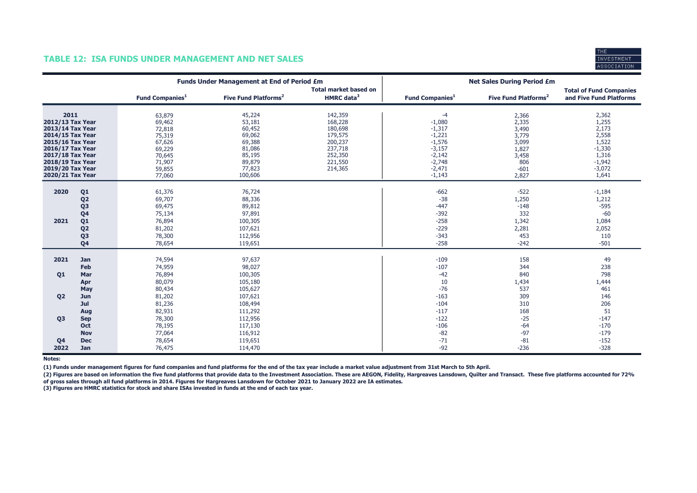

### TABLE 12: ISA FUNDS UNDER MANAGEMENT AND NET SALES

|                                                                                                                                                                                          |                                                                                                                                  |                                                                                                  | <b>Funds Under Management at End of Period £m</b>                                                 |                                                                                                 | <b>Net Sales During Period £m</b>                                                                                |                                                                                       |                                                                                                 |  |
|------------------------------------------------------------------------------------------------------------------------------------------------------------------------------------------|----------------------------------------------------------------------------------------------------------------------------------|--------------------------------------------------------------------------------------------------|---------------------------------------------------------------------------------------------------|-------------------------------------------------------------------------------------------------|------------------------------------------------------------------------------------------------------------------|---------------------------------------------------------------------------------------|-------------------------------------------------------------------------------------------------|--|
|                                                                                                                                                                                          |                                                                                                                                  | <b>Fund Companies</b> <sup>1</sup>                                                               | Five Fund Platforms <sup>2</sup>                                                                  | <b>Total market based on</b><br>HMRC data <sup>3</sup>                                          | Fund Companies <sup>1</sup>                                                                                      | Five Fund Platforms <sup>2</sup>                                                      | <b>Total of Fund Companies</b><br>and Five Fund Platforms                                       |  |
| 2011<br>2012/13 Tax Year<br>2013/14 Tax Year<br>2014/15 Tax Year<br>2015/16 Tax Year<br>2016/17 Tax Year<br>2017/18 Tax Year<br>2018/19 Tax Year<br>2019/20 Tax Year<br>2020/21 Tax Year |                                                                                                                                  | 63,879<br>69,462<br>72,818<br>75,319<br>67,626<br>69,229<br>70,645<br>71,907<br>59,855<br>77,060 | 45,224<br>53,181<br>60,452<br>69,062<br>69,388<br>81,086<br>85,195<br>89,879<br>77,823<br>100,606 | 142,359<br>168,228<br>180,698<br>179,575<br>200,237<br>237,718<br>252,350<br>221,550<br>214,365 | $-4$<br>$-1,080$<br>$-1,317$<br>$-1,221$<br>$-1,576$<br>$-3,157$<br>$-2,142$<br>$-2,748$<br>$-2,471$<br>$-1,143$ | 2,366<br>2,335<br>3,490<br>3,779<br>3,099<br>1,827<br>3,458<br>806<br>$-601$<br>2,827 | 2,362<br>1,255<br>2,173<br>2,558<br>1,522<br>$-1,330$<br>1,316<br>$-1,942$<br>$-3,072$<br>1,641 |  |
| 2020<br>2021                                                                                                                                                                             | Q <sub>1</sub><br>Q <sub>2</sub><br>Q <sub>3</sub><br>Q <sub>4</sub><br>Q1<br>Q <sub>2</sub><br>Q <sub>3</sub><br>Q <sub>4</sub> | 61,376<br>69,707<br>69,475<br>75,134<br>76,894<br>81,202<br>78,300<br>78,654                     | 76,724<br>88,336<br>89,812<br>97,891<br>100,305<br>107,621<br>112,956<br>119,651                  |                                                                                                 | $-662$<br>$-38$<br>$-447$<br>$-392$<br>$-258$<br>$-229$<br>$-343$<br>$-258$                                      | $-522$<br>1,250<br>$-148$<br>332<br>1,342<br>2,281<br>453<br>$-242$                   | $-1,184$<br>1,212<br>$-595$<br>$-60$<br>1,084<br>2,052<br>110<br>$-501$                         |  |
| 2021<br>Q1                                                                                                                                                                               | Jan<br>Feb<br>Mar<br>Apr<br>May                                                                                                  | 74,594<br>74,959<br>76,894<br>80,079<br>80,434                                                   | 97,637<br>98,027<br>100,305<br>105,180<br>105,627                                                 |                                                                                                 | $-109$<br>$-107$<br>$-42$<br>10<br>$-76$                                                                         | 158<br>344<br>840<br>1,434<br>537                                                     | 49<br>238<br>798<br>1,444<br>461                                                                |  |
| Q <sub>2</sub><br>Q <sub>3</sub>                                                                                                                                                         | Jun<br>Jul<br>Aug<br><b>Sep</b><br>Oct<br><b>Nov</b>                                                                             | 81,202<br>81,236<br>82,931<br>78,300<br>78,195<br>77,064                                         | 107,621<br>108,494<br>111,292<br>112,956<br>117,130<br>116,912                                    |                                                                                                 | $-163$<br>$-104$<br>$-117$<br>$-122$<br>$-106$<br>$-82$                                                          | 309<br>310<br>168<br>$-25$<br>$-64$<br>$-97$                                          | 146<br>206<br>51<br>$-147$<br>$-170$<br>$-179$                                                  |  |
| Q <sub>4</sub><br>2022                                                                                                                                                                   | <b>Dec</b><br>Jan                                                                                                                | 78,654<br>76,475                                                                                 | 119,651<br>114,470                                                                                |                                                                                                 | $-71$<br>$-92$                                                                                                   | $-81$<br>$-236$                                                                       | $-152$<br>$-328$                                                                                |  |

Notes:

(1) Funds under management figures for fund companies and fund platforms for the end of the tax year include a market value adjustment from 31st March to 5th April.

(2) Figures are based on information the five fund platforms that provide data to the Investment Association. These are AEGON, Fidelity, Hargreaves Lansdown, Quilter and Transact. These five platforms accounted for 72% of gross sales through all fund platforms in 2014. Figures for Hargreaves Lansdown for October 2021 to January 2022 are IA estimates.

(3) Figures are HMRC statistics for stock and share ISAs invested in funds at the end of each tax year.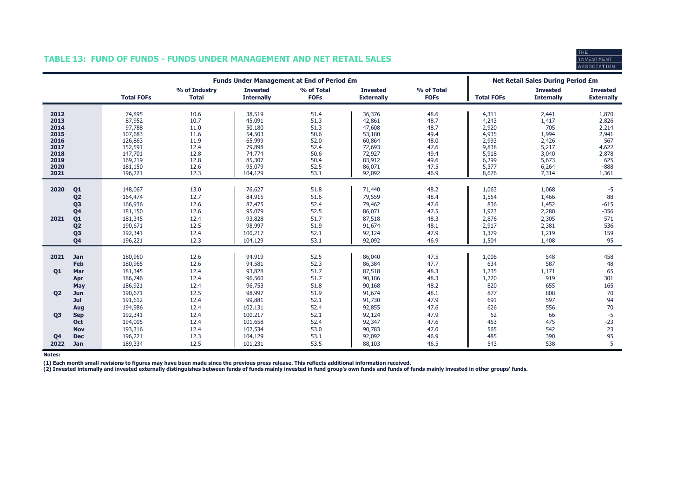# TABLE 13: FUND OF FUNDS - FUNDS UNDER MANAGEMENT AND NET RETAIL SALES



|                                                                              |                                                                                                                                              | <b>Funds Under Management at End of Period £m</b>                                                       |                                                                              |                                                                                                   |                                                                              |                                                                                                  |                                                                              | <b>Net Retail Sales During Period £m</b>                                               |                                                                                      |                                                                                     |
|------------------------------------------------------------------------------|----------------------------------------------------------------------------------------------------------------------------------------------|---------------------------------------------------------------------------------------------------------|------------------------------------------------------------------------------|---------------------------------------------------------------------------------------------------|------------------------------------------------------------------------------|--------------------------------------------------------------------------------------------------|------------------------------------------------------------------------------|----------------------------------------------------------------------------------------|--------------------------------------------------------------------------------------|-------------------------------------------------------------------------------------|
|                                                                              |                                                                                                                                              | <b>Total FOFs</b>                                                                                       | % of Industry<br><b>Total</b>                                                | <b>Invested</b><br><b>Internally</b>                                                              | % of Total<br><b>FOFs</b>                                                    | <b>Invested</b><br><b>Externally</b>                                                             | % of Total<br><b>FOFs</b>                                                    | <b>Total FOFs</b>                                                                      | <b>Invested</b><br><b>Internally</b>                                                 | <b>Invested</b><br><b>Externally</b>                                                |
| 2012<br>2013<br>2014<br>2015<br>2016<br>2017<br>2018<br>2019<br>2020<br>2021 |                                                                                                                                              | 74,895<br>87,952<br>97,788<br>107,683<br>126,863<br>152,591<br>147,701<br>169,219<br>181,150<br>196,221 | 10.6<br>10.7<br>11.0<br>11.6<br>11.9<br>12.4<br>12.8<br>12.8<br>12.6<br>12.3 | 38,519<br>45,091<br>50,180<br>54,503<br>65,999<br>79,898<br>74,774<br>85,307<br>95,079<br>104,129 | 51.4<br>51.3<br>51.3<br>50.6<br>52.0<br>52.4<br>50.6<br>50.4<br>52.5<br>53.1 | 36,376<br>42,861<br>47,608<br>53,180<br>60,864<br>72,693<br>72,927<br>83,912<br>86,071<br>92,092 | 48.6<br>48.7<br>48.7<br>49.4<br>48.0<br>47.6<br>49.4<br>49.6<br>47.5<br>46.9 | 4,311<br>4,243<br>2,920<br>4,935<br>2,993<br>9,838<br>5,918<br>6,299<br>5,377<br>8,676 | 2,441<br>1,417<br>705<br>1,994<br>2,426<br>5,217<br>3,040<br>5,673<br>6,264<br>7,314 | 1,870<br>2,826<br>2,214<br>2,941<br>567<br>4,622<br>2,878<br>625<br>$-888$<br>1,361 |
| 2020<br>2021                                                                 | Q <sub>1</sub><br>Q <sub>2</sub><br>Q <sub>3</sub><br>Q <sub>4</sub><br>Q <sub>1</sub><br>Q <sub>2</sub><br>Q <sub>3</sub><br>Q <sub>4</sub> | 148,067<br>164,474<br>166,936<br>181,150<br>181,345<br>190,671<br>192,341<br>196,221                    | 13.0<br>12.7<br>12.6<br>12.6<br>12.4<br>12.5<br>12.4<br>12.3                 | 76,627<br>84,915<br>87,475<br>95,079<br>93,828<br>98,997<br>100,217<br>104,129                    | 51.8<br>51.6<br>52.4<br>52.5<br>51.7<br>51.9<br>52.1<br>53.1                 | 71,440<br>79,559<br>79,462<br>86,071<br>87,518<br>91,674<br>92,124<br>92,092                     | 48.2<br>48.4<br>47.6<br>47.5<br>48.3<br>48.1<br>47.9<br>46.9                 | 1,063<br>1,554<br>836<br>1,923<br>2,876<br>2,917<br>1,379<br>1,504                     | 1,068<br>1,466<br>1,452<br>2,280<br>2,305<br>2,381<br>1,219<br>1,408                 | -5<br>88<br>$-615$<br>$-356$<br>571<br>536<br>159<br>95                             |
| 2021<br>Q <sub>1</sub><br><b>Q2</b>                                          | <b>Jan</b><br>Feb<br>Mar<br>Apr<br>May<br>Jun<br>Jul                                                                                         | 180,960<br>180,965<br>181,345<br>186,746<br>186,921<br>190,671<br>191,612                               | 12.6<br>12.6<br>12.4<br>12.4<br>12.4<br>12.5<br>12.4                         | 94,919<br>94,581<br>93,828<br>96,560<br>96,753<br>98,997<br>99,881                                | 52.5<br>52.3<br>51.7<br>51.7<br>51.8<br>51.9<br>52.1                         | 86,040<br>86,384<br>87,518<br>90,186<br>90,168<br>91,674<br>91,730                               | 47.5<br>47.7<br>48.3<br>48.3<br>48.2<br>48.1<br>47.9                         | 1,006<br>634<br>1,235<br>1,220<br>820<br>877<br>691                                    | 548<br>587<br>1,171<br>919<br>655<br>808<br>597                                      | 458<br>48<br>65<br>301<br>165<br>70<br>94                                           |
| 03<br>Q <sub>4</sub><br>2022                                                 | Aug<br><b>Sep</b><br><b>Oct</b><br><b>Nov</b><br><b>Dec</b><br><b>Jan</b>                                                                    | 194,986<br>192,341<br>194,005<br>193,316<br>196,221<br>189,334                                          | 12.4<br>12.4<br>12.4<br>12.4<br>12.3<br>12.5                                 | 102,131<br>100,217<br>101,658<br>102,534<br>104,129<br>101,231                                    | 52.4<br>52.1<br>52.4<br>53.0<br>53.1<br>53.5                                 | 92,855<br>92,124<br>92,347<br>90,783<br>92,092<br>88,103                                         | 47.6<br>47.9<br>47.6<br>47.0<br>46.9<br>46.5                                 | 626<br>62<br>453<br>565<br>485<br>543                                                  | 556<br>66<br>475<br>542<br>390<br>538                                                | 70<br>$-5$<br>$-23$<br>23<br>95<br>5                                                |

Notes:

(1) Each month small revisions to figures may have been made since the previous press release. This reflects additional information received.<br>(2) Invested internally and invested externally distinguishes between funds of f